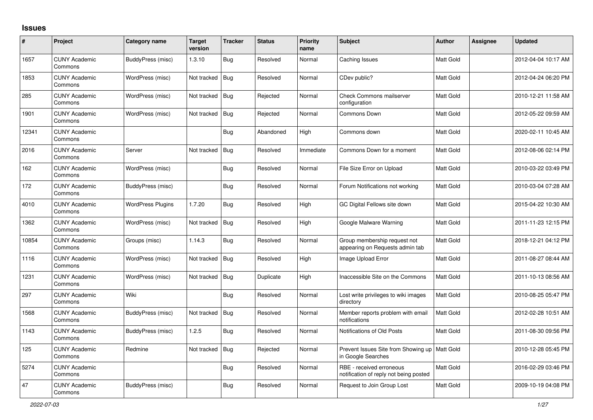## **Issues**

| $\#$  | Project                         | Category name            | <b>Target</b><br>version | <b>Tracker</b> | <b>Status</b> | <b>Priority</b><br>name | <b>Subject</b>                                                        | <b>Author</b> | <b>Assignee</b> | <b>Updated</b>      |
|-------|---------------------------------|--------------------------|--------------------------|----------------|---------------|-------------------------|-----------------------------------------------------------------------|---------------|-----------------|---------------------|
| 1657  | <b>CUNY Academic</b><br>Commons | BuddyPress (misc)        | 1.3.10                   | <b>Bug</b>     | Resolved      | Normal                  | Caching Issues                                                        | Matt Gold     |                 | 2012-04-04 10:17 AM |
| 1853  | <b>CUNY Academic</b><br>Commons | WordPress (misc)         | Not tracked              | <b>Bug</b>     | Resolved      | Normal                  | CDev public?                                                          | Matt Gold     |                 | 2012-04-24 06:20 PM |
| 285   | <b>CUNY Academic</b><br>Commons | WordPress (misc)         | Not tracked              | <b>Bug</b>     | Rejected      | Normal                  | Check Commons mailserver<br>configuration                             | Matt Gold     |                 | 2010-12-21 11:58 AM |
| 1901  | <b>CUNY Academic</b><br>Commons | WordPress (misc)         | Not tracked              | <b>Bug</b>     | Rejected      | Normal                  | Commons Down                                                          | Matt Gold     |                 | 2012-05-22 09:59 AM |
| 12341 | <b>CUNY Academic</b><br>Commons |                          |                          | <b>Bug</b>     | Abandoned     | High                    | Commons down                                                          | Matt Gold     |                 | 2020-02-11 10:45 AM |
| 2016  | <b>CUNY Academic</b><br>Commons | Server                   | Not tracked              | Bug            | Resolved      | Immediate               | Commons Down for a moment                                             | Matt Gold     |                 | 2012-08-06 02:14 PM |
| 162   | <b>CUNY Academic</b><br>Commons | WordPress (misc)         |                          | <b>Bug</b>     | Resolved      | Normal                  | File Size Error on Upload                                             | Matt Gold     |                 | 2010-03-22 03:49 PM |
| 172   | <b>CUNY Academic</b><br>Commons | BuddyPress (misc)        |                          | <b>Bug</b>     | Resolved      | Normal                  | Forum Notifications not working                                       | Matt Gold     |                 | 2010-03-04 07:28 AM |
| 4010  | <b>CUNY Academic</b><br>Commons | <b>WordPress Plugins</b> | 1.7.20                   | <b>Bug</b>     | Resolved      | High                    | GC Digital Fellows site down                                          | Matt Gold     |                 | 2015-04-22 10:30 AM |
| 1362  | <b>CUNY Academic</b><br>Commons | WordPress (misc)         | Not tracked              | <b>Bug</b>     | Resolved      | High                    | Google Malware Warning                                                | Matt Gold     |                 | 2011-11-23 12:15 PM |
| 10854 | <b>CUNY Academic</b><br>Commons | Groups (misc)            | 1.14.3                   | <b>Bug</b>     | Resolved      | Normal                  | Group membership request not<br>appearing on Requests admin tab       | Matt Gold     |                 | 2018-12-21 04:12 PM |
| 1116  | <b>CUNY Academic</b><br>Commons | WordPress (misc)         | Not tracked              | <b>Bug</b>     | Resolved      | High                    | Image Upload Error                                                    | Matt Gold     |                 | 2011-08-27 08:44 AM |
| 1231  | <b>CUNY Academic</b><br>Commons | WordPress (misc)         | Not tracked              | Bug            | Duplicate     | High                    | Inaccessible Site on the Commons                                      | Matt Gold     |                 | 2011-10-13 08:56 AM |
| 297   | <b>CUNY Academic</b><br>Commons | Wiki                     |                          | <b>Bug</b>     | Resolved      | Normal                  | Lost write privileges to wiki images<br>directory                     | Matt Gold     |                 | 2010-08-25 05:47 PM |
| 1568  | <b>CUNY Academic</b><br>Commons | BuddyPress (misc)        | Not tracked              | <b>Bug</b>     | Resolved      | Normal                  | Member reports problem with email<br>notifications                    | Matt Gold     |                 | 2012-02-28 10:51 AM |
| 1143  | <b>CUNY Academic</b><br>Commons | BuddyPress (misc)        | 1.2.5                    | <b>Bug</b>     | Resolved      | Normal                  | Notifications of Old Posts                                            | Matt Gold     |                 | 2011-08-30 09:56 PM |
| 125   | <b>CUNY Academic</b><br>Commons | Redmine                  | Not tracked              | Bug            | Rejected      | Normal                  | Prevent Issues Site from Showing up   Matt Gold<br>in Google Searches |               |                 | 2010-12-28 05:45 PM |
| 5274  | <b>CUNY Academic</b><br>Commons |                          |                          | <b>Bug</b>     | Resolved      | Normal                  | RBE - received erroneous<br>notification of reply not being posted    | Matt Gold     |                 | 2016-02-29 03:46 PM |
| 47    | <b>CUNY Academic</b><br>Commons | BuddyPress (misc)        |                          | <b>Bug</b>     | Resolved      | Normal                  | Request to Join Group Lost                                            | Matt Gold     |                 | 2009-10-19 04:08 PM |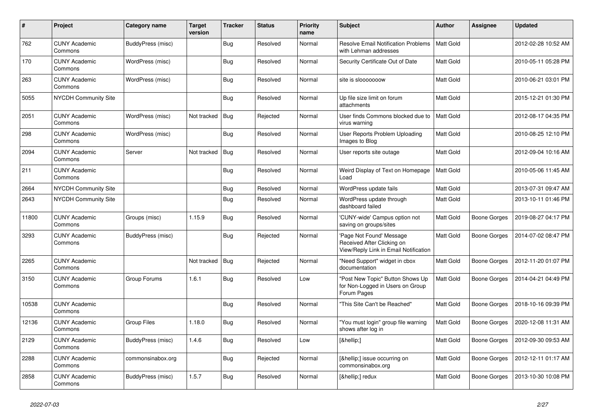| $\#$  | Project                         | Category name      | <b>Target</b><br>version | <b>Tracker</b> | <b>Status</b> | <b>Priority</b><br>name | <b>Subject</b>                                                                                  | <b>Author</b>    | Assignee            | <b>Updated</b>      |
|-------|---------------------------------|--------------------|--------------------------|----------------|---------------|-------------------------|-------------------------------------------------------------------------------------------------|------------------|---------------------|---------------------|
| 762   | <b>CUNY Academic</b><br>Commons | BuddyPress (misc)  |                          | <b>Bug</b>     | Resolved      | Normal                  | <b>Resolve Email Notification Problems</b><br>with Lehman addresses                             | <b>Matt Gold</b> |                     | 2012-02-28 10:52 AM |
| 170   | <b>CUNY Academic</b><br>Commons | WordPress (misc)   |                          | <b>Bug</b>     | Resolved      | Normal                  | Security Certificate Out of Date                                                                | Matt Gold        |                     | 2010-05-11 05:28 PM |
| 263   | <b>CUNY Academic</b><br>Commons | WordPress (misc)   |                          | <b>Bug</b>     | Resolved      | Normal                  | site is slooooooow                                                                              | Matt Gold        |                     | 2010-06-21 03:01 PM |
| 5055  | <b>NYCDH Community Site</b>     |                    |                          | <b>Bug</b>     | Resolved      | Normal                  | Up file size limit on forum<br>attachments                                                      | Matt Gold        |                     | 2015-12-21 01:30 PM |
| 2051  | <b>CUNY Academic</b><br>Commons | WordPress (misc)   | Not tracked              | Bug            | Rejected      | Normal                  | User finds Commons blocked due to<br>virus warning                                              | <b>Matt Gold</b> |                     | 2012-08-17 04:35 PM |
| 298   | <b>CUNY Academic</b><br>Commons | WordPress (misc)   |                          | <b>Bug</b>     | Resolved      | Normal                  | User Reports Problem Uploading<br>Images to Blog                                                | Matt Gold        |                     | 2010-08-25 12:10 PM |
| 2094  | <b>CUNY Academic</b><br>Commons | Server             | Not tracked              | <b>Bug</b>     | Resolved      | Normal                  | User reports site outage                                                                        | Matt Gold        |                     | 2012-09-04 10:16 AM |
| 211   | <b>CUNY Academic</b><br>Commons |                    |                          | Bug            | Resolved      | Normal                  | Weird Display of Text on Homepage<br>Load                                                       | Matt Gold        |                     | 2010-05-06 11:45 AM |
| 2664  | <b>NYCDH Community Site</b>     |                    |                          | <b>Bug</b>     | Resolved      | Normal                  | WordPress update fails                                                                          | Matt Gold        |                     | 2013-07-31 09:47 AM |
| 2643  | <b>NYCDH Community Site</b>     |                    |                          | <b>Bug</b>     | Resolved      | Normal                  | WordPress update through<br>dashboard failed                                                    | Matt Gold        |                     | 2013-10-11 01:46 PM |
| 11800 | <b>CUNY Academic</b><br>Commons | Groups (misc)      | 1.15.9                   | <b>Bug</b>     | Resolved      | Normal                  | 'CUNY-wide' Campus option not<br>saving on groups/sites                                         | Matt Gold        | <b>Boone Gorges</b> | 2019-08-27 04:17 PM |
| 3293  | <b>CUNY Academic</b><br>Commons | BuddyPress (misc)  |                          | <b>Bug</b>     | Rejected      | Normal                  | 'Page Not Found' Message<br>Received After Clicking on<br>View/Reply Link in Email Notification | Matt Gold        | <b>Boone Gorges</b> | 2014-07-02 08:47 PM |
| 2265  | <b>CUNY Academic</b><br>Commons |                    | Not tracked              | Bug            | Rejected      | Normal                  | "Need Support" widget in cbox<br>documentation                                                  | Matt Gold        | Boone Gorges        | 2012-11-20 01:07 PM |
| 3150  | <b>CUNY Academic</b><br>Commons | Group Forums       | 1.6.1                    | Bug            | Resolved      | Low                     | "Post New Topic" Button Shows Up<br>for Non-Logged in Users on Group<br>Forum Pages             | Matt Gold        | Boone Gorges        | 2014-04-21 04:49 PM |
| 10538 | <b>CUNY Academic</b><br>Commons |                    |                          | Bug            | Resolved      | Normal                  | "This Site Can't be Reached"                                                                    | Matt Gold        | Boone Gorges        | 2018-10-16 09:39 PM |
| 12136 | <b>CUNY Academic</b><br>Commons | <b>Group Files</b> | 1.18.0                   | Bug            | Resolved      | Normal                  | "You must login" group file warning<br>shows after log in                                       | Matt Gold        | <b>Boone Gorges</b> | 2020-12-08 11:31 AM |
| 2129  | <b>CUNY Academic</b><br>Commons | BuddyPress (misc)  | 1.4.6                    | <b>Bug</b>     | Resolved      | Low                     | […]                                                                                             | Matt Gold        | Boone Gorges        | 2012-09-30 09:53 AM |
| 2288  | <b>CUNY Academic</b><br>Commons | commonsinabox.org  |                          | <b>Bug</b>     | Rejected      | Normal                  | […] issue occurring on<br>commonsinabox.org                                                     | Matt Gold        | Boone Gorges        | 2012-12-11 01:17 AM |
| 2858  | <b>CUNY Academic</b><br>Commons | BuddyPress (misc)  | 1.5.7                    | <b>Bug</b>     | Resolved      | Normal                  | […] redux                                                                                       | Matt Gold        | <b>Boone Gorges</b> | 2013-10-30 10:08 PM |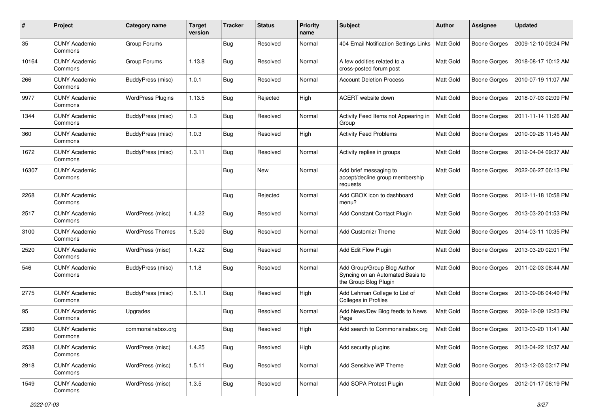| $\#$  | Project                         | Category name            | <b>Target</b><br>version | <b>Tracker</b> | <b>Status</b> | <b>Priority</b><br>name | <b>Subject</b>                                                                           | Author           | <b>Assignee</b>     | <b>Updated</b>      |
|-------|---------------------------------|--------------------------|--------------------------|----------------|---------------|-------------------------|------------------------------------------------------------------------------------------|------------------|---------------------|---------------------|
| 35    | <b>CUNY Academic</b><br>Commons | Group Forums             |                          | <b>Bug</b>     | Resolved      | Normal                  | 404 Email Notification Settings Links                                                    | Matt Gold        | <b>Boone Gorges</b> | 2009-12-10 09:24 PM |
| 10164 | <b>CUNY Academic</b><br>Commons | Group Forums             | 1.13.8                   | <b>Bug</b>     | Resolved      | Normal                  | A few oddities related to a<br>cross-posted forum post                                   | Matt Gold        | <b>Boone Gorges</b> | 2018-08-17 10:12 AM |
| 266   | <b>CUNY Academic</b><br>Commons | BuddyPress (misc)        | 1.0.1                    | Bug            | Resolved      | Normal                  | <b>Account Deletion Process</b>                                                          | Matt Gold        | <b>Boone Gorges</b> | 2010-07-19 11:07 AM |
| 9977  | <b>CUNY Academic</b><br>Commons | <b>WordPress Plugins</b> | 1.13.5                   | Bug            | Rejected      | High                    | ACERT website down                                                                       | <b>Matt Gold</b> | <b>Boone Gorges</b> | 2018-07-03 02:09 PM |
| 1344  | <b>CUNY Academic</b><br>Commons | <b>BuddyPress</b> (misc) | 1.3                      | Bug            | Resolved      | Normal                  | Activity Feed Items not Appearing in<br>Group                                            | <b>Matt Gold</b> | <b>Boone Gorges</b> | 2011-11-14 11:26 AM |
| 360   | <b>CUNY Academic</b><br>Commons | BuddyPress (misc)        | 1.0.3                    | <b>Bug</b>     | Resolved      | High                    | <b>Activity Feed Problems</b>                                                            | Matt Gold        | <b>Boone Gorges</b> | 2010-09-28 11:45 AM |
| 1672  | <b>CUNY Academic</b><br>Commons | BuddyPress (misc)        | 1.3.11                   | Bug            | Resolved      | Normal                  | Activity replies in groups                                                               | Matt Gold        | <b>Boone Gorges</b> | 2012-04-04 09:37 AM |
| 16307 | <b>CUNY Academic</b><br>Commons |                          |                          | <b>Bug</b>     | New           | Normal                  | Add brief messaging to<br>accept/decline group membership<br>requests                    | Matt Gold        | <b>Boone Gorges</b> | 2022-06-27 06:13 PM |
| 2268  | <b>CUNY Academic</b><br>Commons |                          |                          | <b>Bug</b>     | Rejected      | Normal                  | Add CBOX icon to dashboard<br>menu?                                                      | Matt Gold        | <b>Boone Gorges</b> | 2012-11-18 10:58 PM |
| 2517  | <b>CUNY Academic</b><br>Commons | WordPress (misc)         | 1.4.22                   | <b>Bug</b>     | Resolved      | Normal                  | Add Constant Contact Plugin                                                              | Matt Gold        | <b>Boone Gorges</b> | 2013-03-20 01:53 PM |
| 3100  | <b>CUNY Academic</b><br>Commons | <b>WordPress Themes</b>  | 1.5.20                   | Bug            | Resolved      | Normal                  | <b>Add Customizr Theme</b>                                                               | Matt Gold        | <b>Boone Gorges</b> | 2014-03-11 10:35 PM |
| 2520  | <b>CUNY Academic</b><br>Commons | WordPress (misc)         | 1.4.22                   | <b>Bug</b>     | Resolved      | Normal                  | Add Edit Flow Plugin                                                                     | Matt Gold        | Boone Gorges        | 2013-03-20 02:01 PM |
| 546   | <b>CUNY Academic</b><br>Commons | BuddyPress (misc)        | 1.1.8                    | <b>Bug</b>     | Resolved      | Normal                  | Add Group/Group Blog Author<br>Syncing on an Automated Basis to<br>the Group Blog Plugin | Matt Gold        | <b>Boone Gorges</b> | 2011-02-03 08:44 AM |
| 2775  | <b>CUNY Academic</b><br>Commons | BuddyPress (misc)        | 1.5.1.1                  | <b>Bug</b>     | Resolved      | High                    | Add Lehman College to List of<br>Colleges in Profiles                                    | Matt Gold        | <b>Boone Gorges</b> | 2013-09-06 04:40 PM |
| 95    | <b>CUNY Academic</b><br>Commons | Upgrades                 |                          | Bug            | Resolved      | Normal                  | Add News/Dev Blog feeds to News<br>Page                                                  | Matt Gold        | <b>Boone Gorges</b> | 2009-12-09 12:23 PM |
| 2380  | <b>CUNY Academic</b><br>Commons | commonsinabox.org        |                          | <b>Bug</b>     | Resolved      | High                    | Add search to Commonsinabox.org                                                          | Matt Gold        | <b>Boone Gorges</b> | 2013-03-20 11:41 AM |
| 2538  | <b>CUNY Academic</b><br>Commons | WordPress (misc)         | 1.4.25                   | <b>Bug</b>     | Resolved      | High                    | Add security plugins                                                                     | Matt Gold        | <b>Boone Gorges</b> | 2013-04-22 10:37 AM |
| 2918  | <b>CUNY Academic</b><br>Commons | WordPress (misc)         | 1.5.11                   | <b>Bug</b>     | Resolved      | Normal                  | Add Sensitive WP Theme                                                                   | Matt Gold        | Boone Gorges        | 2013-12-03 03:17 PM |
| 1549  | <b>CUNY Academic</b><br>Commons | WordPress (misc)         | 1.3.5                    | <b>Bug</b>     | Resolved      | Normal                  | Add SOPA Protest Plugin                                                                  | Matt Gold        | <b>Boone Gorges</b> | 2012-01-17 06:19 PM |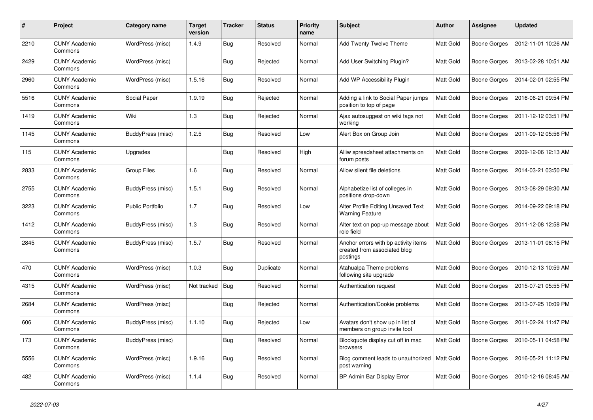| $\#$ | Project                         | Category name            | <b>Target</b><br>version | <b>Tracker</b> | <b>Status</b> | <b>Priority</b><br>name | <b>Subject</b>                                                                   | <b>Author</b>    | Assignee            | <b>Updated</b>      |
|------|---------------------------------|--------------------------|--------------------------|----------------|---------------|-------------------------|----------------------------------------------------------------------------------|------------------|---------------------|---------------------|
| 2210 | <b>CUNY Academic</b><br>Commons | WordPress (misc)         | 1.4.9                    | Bug            | Resolved      | Normal                  | Add Twenty Twelve Theme                                                          | <b>Matt Gold</b> | <b>Boone Gorges</b> | 2012-11-01 10:26 AM |
| 2429 | <b>CUNY Academic</b><br>Commons | WordPress (misc)         |                          | Bug            | Rejected      | Normal                  | Add User Switching Plugin?                                                       | Matt Gold        | <b>Boone Gorges</b> | 2013-02-28 10:51 AM |
| 2960 | <b>CUNY Academic</b><br>Commons | WordPress (misc)         | 1.5.16                   | Bug            | Resolved      | Normal                  | Add WP Accessibility Plugin                                                      | Matt Gold        | <b>Boone Gorges</b> | 2014-02-01 02:55 PM |
| 5516 | <b>CUNY Academic</b><br>Commons | Social Paper             | 1.9.19                   | <b>Bug</b>     | Rejected      | Normal                  | Adding a link to Social Paper jumps<br>position to top of page                   | Matt Gold        | <b>Boone Gorges</b> | 2016-06-21 09:54 PM |
| 1419 | <b>CUNY Academic</b><br>Commons | Wiki                     | 1.3                      | Bug            | Rejected      | Normal                  | Ajax autosuggest on wiki tags not<br>working                                     | Matt Gold        | <b>Boone Gorges</b> | 2011-12-12 03:51 PM |
| 1145 | <b>CUNY Academic</b><br>Commons | BuddyPress (misc)        | 1.2.5                    | <b>Bug</b>     | Resolved      | Low                     | Alert Box on Group Join                                                          | Matt Gold        | <b>Boone Gorges</b> | 2011-09-12 05:56 PM |
| 115  | <b>CUNY Academic</b><br>Commons | Upgrades                 |                          | <b>Bug</b>     | Resolved      | High                    | Alliw spreadsheet attachments on<br>forum posts                                  | Matt Gold        | <b>Boone Gorges</b> | 2009-12-06 12:13 AM |
| 2833 | <b>CUNY Academic</b><br>Commons | <b>Group Files</b>       | 1.6                      | <b>Bug</b>     | Resolved      | Normal                  | Allow silent file deletions                                                      | <b>Matt Gold</b> | Boone Gorges        | 2014-03-21 03:50 PM |
| 2755 | <b>CUNY Academic</b><br>Commons | BuddyPress (misc)        | 1.5.1                    | Bug            | Resolved      | Normal                  | Alphabetize list of colleges in<br>positions drop-down                           | Matt Gold        | <b>Boone Gorges</b> | 2013-08-29 09:30 AM |
| 3223 | <b>CUNY Academic</b><br>Commons | <b>Public Portfolio</b>  | 1.7                      | <b>Bug</b>     | Resolved      | Low                     | Alter Profile Editing Unsaved Text<br><b>Warning Feature</b>                     | Matt Gold        | Boone Gorges        | 2014-09-22 09:18 PM |
| 1412 | <b>CUNY Academic</b><br>Commons | BuddyPress (misc)        | 1.3                      | Bug            | Resolved      | Normal                  | Alter text on pop-up message about<br>role field                                 | Matt Gold        | Boone Gorges        | 2011-12-08 12:58 PM |
| 2845 | <b>CUNY Academic</b><br>Commons | BuddyPress (misc)        | 1.5.7                    | Bug            | Resolved      | Normal                  | Anchor errors with bp activity items<br>created from associated blog<br>postings | Matt Gold        | <b>Boone Gorges</b> | 2013-11-01 08:15 PM |
| 470  | <b>CUNY Academic</b><br>Commons | WordPress (misc)         | 1.0.3                    | Bug            | Duplicate     | Normal                  | Atahualpa Theme problems<br>following site upgrade                               | Matt Gold        | <b>Boone Gorges</b> | 2010-12-13 10:59 AM |
| 4315 | <b>CUNY Academic</b><br>Commons | WordPress (misc)         | Not tracked              | <b>Bug</b>     | Resolved      | Normal                  | Authentication request                                                           | Matt Gold        | <b>Boone Gorges</b> | 2015-07-21 05:55 PM |
| 2684 | <b>CUNY Academic</b><br>Commons | WordPress (misc)         |                          | Bug            | Rejected      | Normal                  | Authentication/Cookie problems                                                   | Matt Gold        | <b>Boone Gorges</b> | 2013-07-25 10:09 PM |
| 606  | <b>CUNY Academic</b><br>Commons | BuddyPress (misc)        | 1.1.10                   | Bug            | Rejected      | Low                     | Avatars don't show up in list of<br>members on group invite tool                 | Matt Gold        | Boone Gorges        | 2011-02-24 11:47 PM |
| 173  | <b>CUNY Academic</b><br>Commons | <b>BuddyPress (misc)</b> |                          | <b>Bug</b>     | Resolved      | Normal                  | Blockquote display cut off in mac<br>browsers                                    | Matt Gold        | <b>Boone Gorges</b> | 2010-05-11 04:58 PM |
| 5556 | <b>CUNY Academic</b><br>Commons | WordPress (misc)         | 1.9.16                   | Bug            | Resolved      | Normal                  | Blog comment leads to unauthorized<br>post warning                               | Matt Gold        | Boone Gorges        | 2016-05-21 11:12 PM |
| 482  | <b>CUNY Academic</b><br>Commons | WordPress (misc)         | 1.1.4                    | Bug            | Resolved      | Normal                  | BP Admin Bar Display Error                                                       | Matt Gold        | <b>Boone Gorges</b> | 2010-12-16 08:45 AM |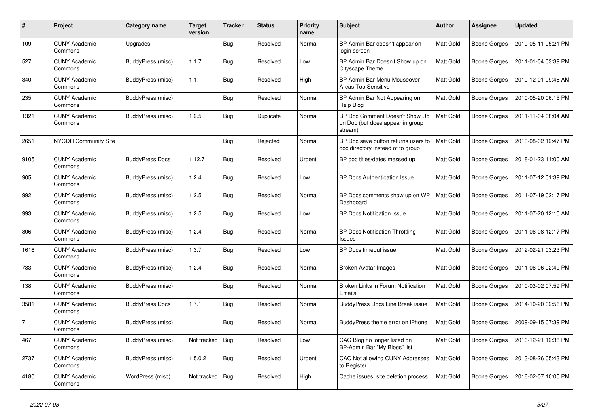| $\#$           | Project                         | Category name          | <b>Target</b><br>version | <b>Tracker</b> | <b>Status</b> | <b>Priority</b><br>name | <b>Subject</b>                                                                | <b>Author</b>    | Assignee            | <b>Updated</b>      |
|----------------|---------------------------------|------------------------|--------------------------|----------------|---------------|-------------------------|-------------------------------------------------------------------------------|------------------|---------------------|---------------------|
| 109            | <b>CUNY Academic</b><br>Commons | Upgrades               |                          | <b>Bug</b>     | Resolved      | Normal                  | BP Admin Bar doesn't appear on<br>login screen                                | <b>Matt Gold</b> | <b>Boone Gorges</b> | 2010-05-11 05:21 PM |
| 527            | <b>CUNY Academic</b><br>Commons | BuddyPress (misc)      | 1.1.7                    | Bug            | Resolved      | Low                     | BP Admin Bar Doesn't Show up on<br>Cityscape Theme                            | Matt Gold        | <b>Boone Gorges</b> | 2011-01-04 03:39 PM |
| 340            | <b>CUNY Academic</b><br>Commons | BuddyPress (misc)      | 1.1                      | <b>Bug</b>     | Resolved      | High                    | BP Admin Bar Menu Mouseover<br>Areas Too Sensitive                            | Matt Gold        | <b>Boone Gorges</b> | 2010-12-01 09:48 AM |
| 235            | <b>CUNY Academic</b><br>Commons | BuddyPress (misc)      |                          | <b>Bug</b>     | Resolved      | Normal                  | BP Admin Bar Not Appearing on<br>Help Blog                                    | Matt Gold        | <b>Boone Gorges</b> | 2010-05-20 06:15 PM |
| 1321           | <b>CUNY Academic</b><br>Commons | BuddyPress (misc)      | 1.2.5                    | <b>Bug</b>     | Duplicate     | Normal                  | BP Doc Comment Doesn't Show Up<br>on Doc (but does appear in group<br>stream) | Matt Gold        | <b>Boone Gorges</b> | 2011-11-04 08:04 AM |
| 2651           | <b>NYCDH Community Site</b>     |                        |                          | <b>Bug</b>     | Rejected      | Normal                  | BP Doc save button returns users to<br>doc directory instead of to group      | Matt Gold        | <b>Boone Gorges</b> | 2013-08-02 12:47 PM |
| 9105           | <b>CUNY Academic</b><br>Commons | <b>BuddyPress Docs</b> | 1.12.7                   | Bug            | Resolved      | Urgent                  | BP doc titles/dates messed up                                                 | Matt Gold        | <b>Boone Gorges</b> | 2018-01-23 11:00 AM |
| 905            | <b>CUNY Academic</b><br>Commons | BuddyPress (misc)      | 1.2.4                    | <b>Bug</b>     | Resolved      | Low                     | <b>BP Docs Authentication Issue</b>                                           | Matt Gold        | <b>Boone Gorges</b> | 2011-07-12 01:39 PM |
| 992            | <b>CUNY Academic</b><br>Commons | BuddyPress (misc)      | 1.2.5                    | Bug            | Resolved      | Normal                  | BP Docs comments show up on WP<br>Dashboard                                   | <b>Matt Gold</b> | <b>Boone Gorges</b> | 2011-07-19 02:17 PM |
| 993            | <b>CUNY Academic</b><br>Commons | BuddyPress (misc)      | 1.2.5                    | Bug            | Resolved      | Low                     | <b>BP Docs Notification Issue</b>                                             | Matt Gold        | <b>Boone Gorges</b> | 2011-07-20 12:10 AM |
| 806            | <b>CUNY Academic</b><br>Commons | BuddyPress (misc)      | 1.2.4                    | <b>Bug</b>     | Resolved      | Normal                  | <b>BP Docs Notification Throttling</b><br><b>Issues</b>                       | Matt Gold        | Boone Gorges        | 2011-06-08 12:17 PM |
| 1616           | <b>CUNY Academic</b><br>Commons | BuddyPress (misc)      | 1.3.7                    | Bug            | Resolved      | Low                     | BP Docs timeout issue                                                         | Matt Gold        | <b>Boone Gorges</b> | 2012-02-21 03:23 PM |
| 783            | <b>CUNY Academic</b><br>Commons | BuddyPress (misc)      | 1.2.4                    | <b>Bug</b>     | Resolved      | Normal                  | Broken Avatar Images                                                          | <b>Matt Gold</b> | <b>Boone Gorges</b> | 2011-06-06 02:49 PM |
| 138            | <b>CUNY Academic</b><br>Commons | BuddyPress (misc)      |                          | <b>Bug</b>     | Resolved      | Normal                  | Broken Links in Forum Notification<br>Emails                                  | Matt Gold        | <b>Boone Gorges</b> | 2010-03-02 07:59 PM |
| 3581           | <b>CUNY Academic</b><br>Commons | <b>BuddyPress Docs</b> | 1.7.1                    | <b>Bug</b>     | Resolved      | Normal                  | <b>BuddyPress Docs Line Break issue</b>                                       | Matt Gold        | <b>Boone Gorges</b> | 2014-10-20 02:56 PM |
| $\overline{7}$ | <b>CUNY Academic</b><br>Commons | BuddyPress (misc)      |                          | Bug            | Resolved      | Normal                  | BuddyPress theme error on iPhone                                              | Matt Gold        | <b>Boone Gorges</b> | 2009-09-15 07:39 PM |
| 467            | <b>CUNY Academic</b><br>Commons | BuddyPress (misc)      | Not tracked              | <b>Bug</b>     | Resolved      | Low                     | CAC Blog no longer listed on<br>BP-Admin Bar "My Blogs" list                  | Matt Gold        | Boone Gorges        | 2010-12-21 12:38 PM |
| 2737           | <b>CUNY Academic</b><br>Commons | BuddyPress (misc)      | 1.5.0.2                  | <b>Bug</b>     | Resolved      | Urgent                  | CAC Not allowing CUNY Addresses<br>to Register                                | Matt Gold        | Boone Gorges        | 2013-08-26 05:43 PM |
| 4180           | <b>CUNY Academic</b><br>Commons | WordPress (misc)       | Not tracked              | <b>Bug</b>     | Resolved      | High                    | Cache issues: site deletion process                                           | Matt Gold        | Boone Gorges        | 2016-02-07 10:05 PM |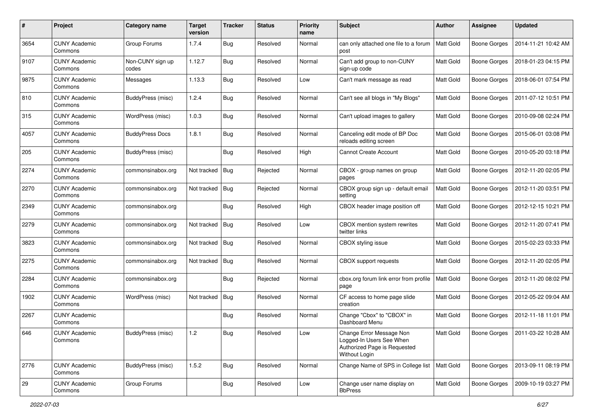| #    | Project                         | <b>Category name</b>      | <b>Target</b><br>version | <b>Tracker</b> | <b>Status</b> | <b>Priority</b><br>name | <b>Subject</b>                                                                                        | Author           | <b>Assignee</b>     | <b>Updated</b>      |
|------|---------------------------------|---------------------------|--------------------------|----------------|---------------|-------------------------|-------------------------------------------------------------------------------------------------------|------------------|---------------------|---------------------|
| 3654 | <b>CUNY Academic</b><br>Commons | Group Forums              | 1.7.4                    | <b>Bug</b>     | Resolved      | Normal                  | can only attached one file to a forum<br>post                                                         | Matt Gold        | <b>Boone Gorges</b> | 2014-11-21 10:42 AM |
| 9107 | <b>CUNY Academic</b><br>Commons | Non-CUNY sign up<br>codes | 1.12.7                   | <b>Bug</b>     | Resolved      | Normal                  | Can't add group to non-CUNY<br>sign-up code                                                           | Matt Gold        | <b>Boone Gorges</b> | 2018-01-23 04:15 PM |
| 9875 | <b>CUNY Academic</b><br>Commons | Messages                  | 1.13.3                   | <b>Bug</b>     | Resolved      | Low                     | Can't mark message as read                                                                            | Matt Gold        | <b>Boone Gorges</b> | 2018-06-01 07:54 PM |
| 810  | <b>CUNY Academic</b><br>Commons | BuddyPress (misc)         | 1.2.4                    | Bug            | Resolved      | Normal                  | Can't see all blogs in "My Blogs"                                                                     | <b>Matt Gold</b> | <b>Boone Gorges</b> | 2011-07-12 10:51 PM |
| 315  | <b>CUNY Academic</b><br>Commons | WordPress (misc)          | 1.0.3                    | <b>Bug</b>     | Resolved      | Normal                  | Can't upload images to gallery                                                                        | <b>Matt Gold</b> | <b>Boone Gorges</b> | 2010-09-08 02:24 PM |
| 4057 | <b>CUNY Academic</b><br>Commons | <b>BuddyPress Docs</b>    | 1.8.1                    | <b>Bug</b>     | Resolved      | Normal                  | Canceling edit mode of BP Doc<br>reloads editing screen                                               | Matt Gold        | <b>Boone Gorges</b> | 2015-06-01 03:08 PM |
| 205  | <b>CUNY Academic</b><br>Commons | BuddyPress (misc)         |                          | <b>Bug</b>     | Resolved      | High                    | <b>Cannot Create Account</b>                                                                          | Matt Gold        | <b>Boone Gorges</b> | 2010-05-20 03:18 PM |
| 2274 | <b>CUNY Academic</b><br>Commons | commonsinabox.org         | Not tracked              | Bug            | Rejected      | Normal                  | CBOX - group names on group<br>pages                                                                  | Matt Gold        | <b>Boone Gorges</b> | 2012-11-20 02:05 PM |
| 2270 | <b>CUNY Academic</b><br>Commons | commonsinabox.org         | Not tracked              | <b>Bug</b>     | Rejected      | Normal                  | CBOX group sign up - default email<br>setting                                                         | Matt Gold        | Boone Gorges        | 2012-11-20 03:51 PM |
| 2349 | <b>CUNY Academic</b><br>Commons | commonsinabox.org         |                          | <b>Bug</b>     | Resolved      | High                    | CBOX header image position off                                                                        | Matt Gold        | Boone Gorges        | 2012-12-15 10:21 PM |
| 2279 | <b>CUNY Academic</b><br>Commons | commonsinabox.org         | Not tracked              | Bug            | Resolved      | Low                     | CBOX mention system rewrites<br>twitter links                                                         | Matt Gold        | Boone Gorges        | 2012-11-20 07:41 PM |
| 3823 | <b>CUNY Academic</b><br>Commons | commonsinabox.org         | Not tracked              | <b>Bug</b>     | Resolved      | Normal                  | CBOX styling issue                                                                                    | Matt Gold        | <b>Boone Gorges</b> | 2015-02-23 03:33 PM |
| 2275 | <b>CUNY Academic</b><br>Commons | commonsinabox.org         | Not tracked              | Bug            | Resolved      | Normal                  | CBOX support requests                                                                                 | Matt Gold        | <b>Boone Gorges</b> | 2012-11-20 02:05 PM |
| 2284 | <b>CUNY Academic</b><br>Commons | commonsinabox.org         |                          | <b>Bug</b>     | Rejected      | Normal                  | cbox.org forum link error from profile<br>page                                                        | <b>Matt Gold</b> | <b>Boone Gorges</b> | 2012-11-20 08:02 PM |
| 1902 | <b>CUNY Academic</b><br>Commons | WordPress (misc)          | Not tracked              | <b>Bug</b>     | Resolved      | Normal                  | CF access to home page slide<br>creation                                                              | Matt Gold        | Boone Gorges        | 2012-05-22 09:04 AM |
| 2267 | <b>CUNY Academic</b><br>Commons |                           |                          | <b>Bug</b>     | Resolved      | Normal                  | Change "Cbox" to "CBOX" in<br>Dashboard Menu                                                          | Matt Gold        | <b>Boone Gorges</b> | 2012-11-18 11:01 PM |
| 646  | <b>CUNY Academic</b><br>Commons | BuddyPress (misc)         | 1.2                      | Bug            | Resolved      | Low                     | Change Error Message Non<br>Logged-In Users See When<br>Authorized Page is Requested<br>Without Login | <b>Matt Gold</b> | <b>Boone Gorges</b> | 2011-03-22 10:28 AM |
| 2776 | <b>CUNY Academic</b><br>Commons | BuddyPress (misc)         | 1.5.2                    | Bug            | Resolved      | Normal                  | Change Name of SPS in College list                                                                    | Matt Gold        | <b>Boone Gorges</b> | 2013-09-11 08:19 PM |
| 29   | <b>CUNY Academic</b><br>Commons | Group Forums              |                          | <b>Bug</b>     | Resolved      | Low                     | Change user name display on<br><b>BbPress</b>                                                         | Matt Gold        | Boone Gorges        | 2009-10-19 03:27 PM |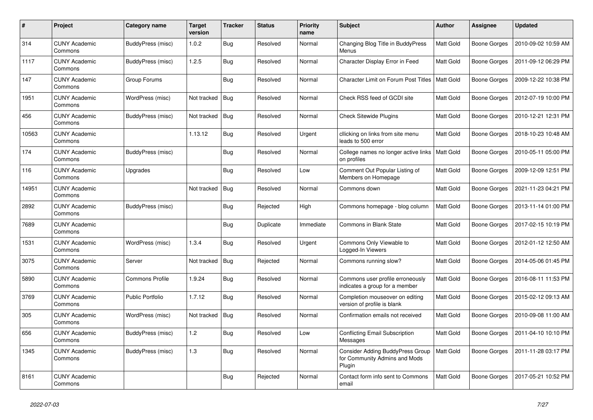| #     | Project                         | Category name           | <b>Target</b><br>version | <b>Tracker</b> | <b>Status</b> | <b>Priority</b><br>name | <b>Subject</b>                                                              | <b>Author</b>    | Assignee     | <b>Updated</b>      |
|-------|---------------------------------|-------------------------|--------------------------|----------------|---------------|-------------------------|-----------------------------------------------------------------------------|------------------|--------------|---------------------|
| 314   | <b>CUNY Academic</b><br>Commons | BuddyPress (misc)       | 1.0.2                    | <b>Bug</b>     | Resolved      | Normal                  | Changing Blog Title in BuddyPress<br>Menus                                  | <b>Matt Gold</b> | Boone Gorges | 2010-09-02 10:59 AM |
| 1117  | <b>CUNY Academic</b><br>Commons | BuddyPress (misc)       | 1.2.5                    | <b>Bug</b>     | Resolved      | Normal                  | Character Display Error in Feed                                             | Matt Gold        | Boone Gorges | 2011-09-12 06:29 PM |
| 147   | <b>CUNY Academic</b><br>Commons | Group Forums            |                          | <b>Bug</b>     | Resolved      | Normal                  | Character Limit on Forum Post Titles                                        | <b>Matt Gold</b> | Boone Gorges | 2009-12-22 10:38 PM |
| 1951  | <b>CUNY Academic</b><br>Commons | WordPress (misc)        | Not tracked              | Bug            | Resolved      | Normal                  | Check RSS feed of GCDI site                                                 | Matt Gold        | Boone Gorges | 2012-07-19 10:00 PM |
| 456   | <b>CUNY Academic</b><br>Commons | BuddyPress (misc)       | Not tracked              | Bug            | Resolved      | Normal                  | <b>Check Sitewide Plugins</b>                                               | Matt Gold        | Boone Gorges | 2010-12-21 12:31 PM |
| 10563 | <b>CUNY Academic</b><br>Commons |                         | 1.13.12                  | <b>Bug</b>     | Resolved      | Urgent                  | cllicking on links from site menu<br>leads to 500 error                     | Matt Gold        | Boone Gorges | 2018-10-23 10:48 AM |
| 174   | <b>CUNY Academic</b><br>Commons | BuddyPress (misc)       |                          | Bug            | Resolved      | Normal                  | College names no longer active links<br>on profiles                         | Matt Gold        | Boone Gorges | 2010-05-11 05:00 PM |
| 116   | <b>CUNY Academic</b><br>Commons | Upgrades                |                          | <b>Bug</b>     | Resolved      | Low                     | Comment Out Popular Listing of<br>Members on Homepage                       | Matt Gold        | Boone Gorges | 2009-12-09 12:51 PM |
| 14951 | <b>CUNY Academic</b><br>Commons |                         | Not tracked              | <b>Bug</b>     | Resolved      | Normal                  | Commons down                                                                | Matt Gold        | Boone Gorges | 2021-11-23 04:21 PM |
| 2892  | <b>CUNY Academic</b><br>Commons | BuddyPress (misc)       |                          | Bug            | Rejected      | High                    | Commons homepage - blog column                                              | Matt Gold        | Boone Gorges | 2013-11-14 01:00 PM |
| 7689  | <b>CUNY Academic</b><br>Commons |                         |                          | Bug            | Duplicate     | Immediate               | <b>Commons in Blank State</b>                                               | Matt Gold        | Boone Gorges | 2017-02-15 10:19 PM |
| 1531  | <b>CUNY Academic</b><br>Commons | WordPress (misc)        | 1.3.4                    | <b>Bug</b>     | Resolved      | Urgent                  | Commons Only Viewable to<br>Logged-In Viewers                               | Matt Gold        | Boone Gorges | 2012-01-12 12:50 AM |
| 3075  | <b>CUNY Academic</b><br>Commons | Server                  | Not tracked              | Bug            | Rejected      | Normal                  | Commons running slow?                                                       | Matt Gold        | Boone Gorges | 2014-05-06 01:45 PM |
| 5890  | <b>CUNY Academic</b><br>Commons | <b>Commons Profile</b>  | 1.9.24                   | Bug            | Resolved      | Normal                  | Commons user profile erroneously<br>indicates a group for a member          | Matt Gold        | Boone Gorges | 2016-08-11 11:53 PM |
| 3769  | <b>CUNY Academic</b><br>Commons | <b>Public Portfolio</b> | 1.7.12                   | Bug            | Resolved      | Normal                  | Completion mouseover on editing<br>version of profile is blank              | Matt Gold        | Boone Gorges | 2015-02-12 09:13 AM |
| 305   | <b>CUNY Academic</b><br>Commons | WordPress (misc)        | Not tracked              | Bug            | Resolved      | Normal                  | Confirmation emails not received                                            | Matt Gold        | Boone Gorges | 2010-09-08 11:00 AM |
| 656   | <b>CUNY Academic</b><br>Commons | BuddyPress (misc)       | 1.2                      | Bug            | Resolved      | Low                     | <b>Conflicting Email Subscription</b><br>Messages                           | Matt Gold        | Boone Gorges | 2011-04-10 10:10 PM |
| 1345  | <b>CUNY Academic</b><br>Commons | BuddyPress (misc)       | 1.3                      | Bug            | Resolved      | Normal                  | Consider Adding BuddyPress Group<br>for Community Admins and Mods<br>Plugin | <b>Matt Gold</b> | Boone Gorges | 2011-11-28 03:17 PM |
| 8161  | <b>CUNY Academic</b><br>Commons |                         |                          | <b>Bug</b>     | Rejected      | Normal                  | Contact form info sent to Commons<br>email                                  | <b>Matt Gold</b> | Boone Gorges | 2017-05-21 10:52 PM |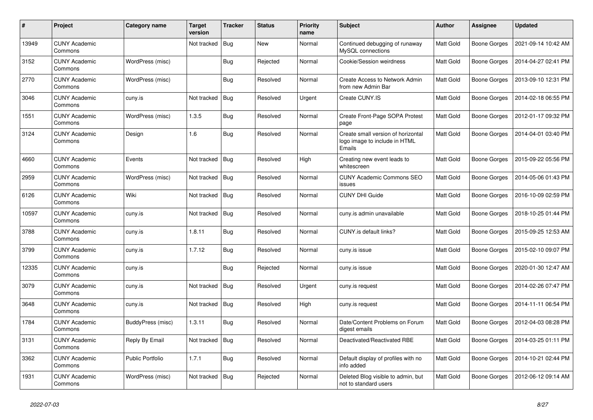| $\pmb{\#}$ | Project                         | Category name           | Target<br>version | <b>Tracker</b> | <b>Status</b> | <b>Priority</b><br>name | <b>Subject</b>                                                                | <b>Author</b> | Assignee            | <b>Updated</b>      |
|------------|---------------------------------|-------------------------|-------------------|----------------|---------------|-------------------------|-------------------------------------------------------------------------------|---------------|---------------------|---------------------|
| 13949      | <b>CUNY Academic</b><br>Commons |                         | Not tracked       | Bug            | <b>New</b>    | Normal                  | Continued debugging of runaway<br>MySQL connections                           | Matt Gold     | <b>Boone Gorges</b> | 2021-09-14 10:42 AM |
| 3152       | <b>CUNY Academic</b><br>Commons | WordPress (misc)        |                   | Bug            | Rejected      | Normal                  | Cookie/Session weirdness                                                      | Matt Gold     | <b>Boone Gorges</b> | 2014-04-27 02:41 PM |
| 2770       | <b>CUNY Academic</b><br>Commons | WordPress (misc)        |                   | <b>Bug</b>     | Resolved      | Normal                  | Create Access to Network Admin<br>from new Admin Bar                          | Matt Gold     | <b>Boone Gorges</b> | 2013-09-10 12:31 PM |
| 3046       | <b>CUNY Academic</b><br>Commons | cuny.is                 | Not tracked       | <b>Bug</b>     | Resolved      | Urgent                  | Create CUNY.IS                                                                | Matt Gold     | Boone Gorges        | 2014-02-18 06:55 PM |
| 1551       | <b>CUNY Academic</b><br>Commons | WordPress (misc)        | 1.3.5             | <b>Bug</b>     | Resolved      | Normal                  | Create Front-Page SOPA Protest<br>page                                        | Matt Gold     | <b>Boone Gorges</b> | 2012-01-17 09:32 PM |
| 3124       | <b>CUNY Academic</b><br>Commons | Design                  | 1.6               | <b>Bug</b>     | Resolved      | Normal                  | Create small version of horizontal<br>logo image to include in HTML<br>Emails | Matt Gold     | <b>Boone Gorges</b> | 2014-04-01 03:40 PM |
| 4660       | <b>CUNY Academic</b><br>Commons | Events                  | Not tracked       | <b>Bug</b>     | Resolved      | High                    | Creating new event leads to<br>whitescreen                                    | Matt Gold     | <b>Boone Gorges</b> | 2015-09-22 05:56 PM |
| 2959       | <b>CUNY Academic</b><br>Commons | WordPress (misc)        | Not tracked       | <b>Bug</b>     | Resolved      | Normal                  | <b>CUNY Academic Commons SEO</b><br>issues                                    | Matt Gold     | <b>Boone Gorges</b> | 2014-05-06 01:43 PM |
| 6126       | <b>CUNY Academic</b><br>Commons | Wiki                    | Not tracked       | Bug            | Resolved      | Normal                  | <b>CUNY DHI Guide</b>                                                         | Matt Gold     | <b>Boone Gorges</b> | 2016-10-09 02:59 PM |
| 10597      | <b>CUNY Academic</b><br>Commons | cuny.is                 | Not tracked       | <b>Bug</b>     | Resolved      | Normal                  | cuny.is admin unavailable                                                     | Matt Gold     | <b>Boone Gorges</b> | 2018-10-25 01:44 PM |
| 3788       | <b>CUNY Academic</b><br>Commons | cuny.is                 | 1.8.11            | <b>Bug</b>     | Resolved      | Normal                  | CUNY.is default links?                                                        | Matt Gold     | <b>Boone Gorges</b> | 2015-09-25 12:53 AM |
| 3799       | <b>CUNY Academic</b><br>Commons | cuny.is                 | 1.7.12            | <b>Bug</b>     | Resolved      | Normal                  | cuny.is issue                                                                 | Matt Gold     | <b>Boone Gorges</b> | 2015-02-10 09:07 PM |
| 12335      | <b>CUNY Academic</b><br>Commons | cuny.is                 |                   | <b>Bug</b>     | Rejected      | Normal                  | cuny.is issue                                                                 | Matt Gold     | <b>Boone Gorges</b> | 2020-01-30 12:47 AM |
| 3079       | <b>CUNY Academic</b><br>Commons | cuny.is                 | Not tracked       | Bug            | Resolved      | Urgent                  | cuny.is request                                                               | Matt Gold     | Boone Gorges        | 2014-02-26 07:47 PM |
| 3648       | <b>CUNY Academic</b><br>Commons | cuny.is                 | Not tracked       | <b>Bug</b>     | Resolved      | High                    | cuny.is request                                                               | Matt Gold     | Boone Gorges        | 2014-11-11 06:54 PM |
| 1784       | <b>CUNY Academic</b><br>Commons | BuddyPress (misc)       | 1.3.11            | <b>Bug</b>     | Resolved      | Normal                  | Date/Content Problems on Forum<br>digest emails                               | Matt Gold     | Boone Gorges        | 2012-04-03 08:28 PM |
| 3131       | <b>CUNY Academic</b><br>Commons | Reply By Email          | Not tracked       | <b>Bug</b>     | Resolved      | Normal                  | Deactivated/Reactivated RBE                                                   | Matt Gold     | Boone Gorges        | 2014-03-25 01:11 PM |
| 3362       | <b>CUNY Academic</b><br>Commons | <b>Public Portfolio</b> | 1.7.1             | Bug            | Resolved      | Normal                  | Default display of profiles with no<br>info added                             | Matt Gold     | Boone Gorges        | 2014-10-21 02:44 PM |
| 1931       | <b>CUNY Academic</b><br>Commons | WordPress (misc)        | Not tracked       | Bug            | Rejected      | Normal                  | Deleted Blog visible to admin, but<br>not to standard users                   | Matt Gold     | Boone Gorges        | 2012-06-12 09:14 AM |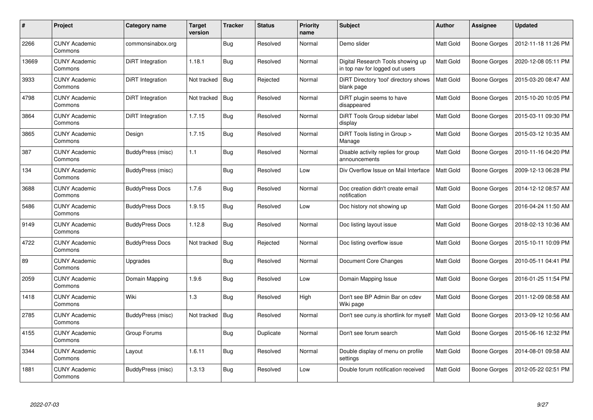| #     | Project                         | Category name          | <b>Target</b><br>version | <b>Tracker</b> | <b>Status</b> | <b>Priority</b><br>name | <b>Subject</b>                                                       | <b>Author</b>    | <b>Assignee</b>     | <b>Updated</b>      |
|-------|---------------------------------|------------------------|--------------------------|----------------|---------------|-------------------------|----------------------------------------------------------------------|------------------|---------------------|---------------------|
| 2266  | <b>CUNY Academic</b><br>Commons | commonsinabox.org      |                          | <b>Bug</b>     | Resolved      | Normal                  | Demo slider                                                          | Matt Gold        | <b>Boone Gorges</b> | 2012-11-18 11:26 PM |
| 13669 | <b>CUNY Academic</b><br>Commons | DiRT Integration       | 1.18.1                   | <b>Bug</b>     | Resolved      | Normal                  | Digital Research Tools showing up<br>in top nav for logged out users | <b>Matt Gold</b> | Boone Gorges        | 2020-12-08 05:11 PM |
| 3933  | <b>CUNY Academic</b><br>Commons | DiRT Integration       | Not tracked              | <b>Bug</b>     | Rejected      | Normal                  | DiRT Directory 'tool' directory shows<br>blank page                  | Matt Gold        | <b>Boone Gorges</b> | 2015-03-20 08:47 AM |
| 4798  | <b>CUNY Academic</b><br>Commons | DiRT Integration       | Not tracked              | Bug            | Resolved      | Normal                  | DiRT plugin seems to have<br>disappeared                             | Matt Gold        | <b>Boone Gorges</b> | 2015-10-20 10:05 PM |
| 3864  | <b>CUNY Academic</b><br>Commons | DiRT Integration       | 1.7.15                   | <b>Bug</b>     | Resolved      | Normal                  | DiRT Tools Group sidebar label<br>display                            | Matt Gold        | Boone Gorges        | 2015-03-11 09:30 PM |
| 3865  | <b>CUNY Academic</b><br>Commons | Design                 | 1.7.15                   | <b>Bug</b>     | Resolved      | Normal                  | DiRT Tools listing in Group ><br>Manage                              | Matt Gold        | Boone Gorges        | 2015-03-12 10:35 AM |
| 387   | <b>CUNY Academic</b><br>Commons | BuddyPress (misc)      | 1.1                      | <b>Bug</b>     | Resolved      | Normal                  | Disable activity replies for group<br>announcements                  | Matt Gold        | <b>Boone Gorges</b> | 2010-11-16 04:20 PM |
| 134   | <b>CUNY Academic</b><br>Commons | BuddyPress (misc)      |                          | <b>Bug</b>     | Resolved      | Low                     | Div Overflow Issue on Mail Interface                                 | Matt Gold        | Boone Gorges        | 2009-12-13 06:28 PM |
| 3688  | <b>CUNY Academic</b><br>Commons | <b>BuddyPress Docs</b> | 1.7.6                    | <b>Bug</b>     | Resolved      | Normal                  | Doc creation didn't create email<br>notification                     | Matt Gold        | <b>Boone Gorges</b> | 2014-12-12 08:57 AM |
| 5486  | <b>CUNY Academic</b><br>Commons | <b>BuddyPress Docs</b> | 1.9.15                   | Bug            | Resolved      | Low                     | Doc history not showing up                                           | Matt Gold        | <b>Boone Gorges</b> | 2016-04-24 11:50 AM |
| 9149  | <b>CUNY Academic</b><br>Commons | <b>BuddyPress Docs</b> | 1.12.8                   | Bug            | Resolved      | Normal                  | Doc listing layout issue                                             | Matt Gold        | <b>Boone Gorges</b> | 2018-02-13 10:36 AM |
| 4722  | <b>CUNY Academic</b><br>Commons | <b>BuddyPress Docs</b> | Not tracked              | Bug            | Rejected      | Normal                  | Doc listing overflow issue                                           | Matt Gold        | Boone Gorges        | 2015-10-11 10:09 PM |
| 89    | <b>CUNY Academic</b><br>Commons | Upgrades               |                          | <b>Bug</b>     | Resolved      | Normal                  | Document Core Changes                                                | Matt Gold        | Boone Gorges        | 2010-05-11 04:41 PM |
| 2059  | <b>CUNY Academic</b><br>Commons | Domain Mapping         | 1.9.6                    | <b>Bug</b>     | Resolved      | Low                     | Domain Mapping Issue                                                 | Matt Gold        | <b>Boone Gorges</b> | 2016-01-25 11:54 PM |
| 1418  | <b>CUNY Academic</b><br>Commons | Wiki                   | 1.3                      | Bug            | Resolved      | High                    | Don't see BP Admin Bar on cdev<br>Wiki page                          | Matt Gold        | Boone Gorges        | 2011-12-09 08:58 AM |
| 2785  | <b>CUNY Academic</b><br>Commons | BuddyPress (misc)      | Not tracked              | Bug            | Resolved      | Normal                  | Don't see cuny is shortlink for myself                               | <b>Matt Gold</b> | Boone Gorges        | 2013-09-12 10:56 AM |
| 4155  | <b>CUNY Academic</b><br>Commons | Group Forums           |                          | <b>Bug</b>     | Duplicate     | Normal                  | Don't see forum search                                               | Matt Gold        | Boone Gorges        | 2015-06-16 12:32 PM |
| 3344  | <b>CUNY Academic</b><br>Commons | Layout                 | 1.6.11                   | <b>Bug</b>     | Resolved      | Normal                  | Double display of menu on profile<br>settings                        | Matt Gold        | <b>Boone Gorges</b> | 2014-08-01 09:58 AM |
| 1881  | <b>CUNY Academic</b><br>Commons | BuddyPress (misc)      | 1.3.13                   | Bug            | Resolved      | Low                     | Double forum notification received                                   | <b>Matt Gold</b> | <b>Boone Gorges</b> | 2012-05-22 02:51 PM |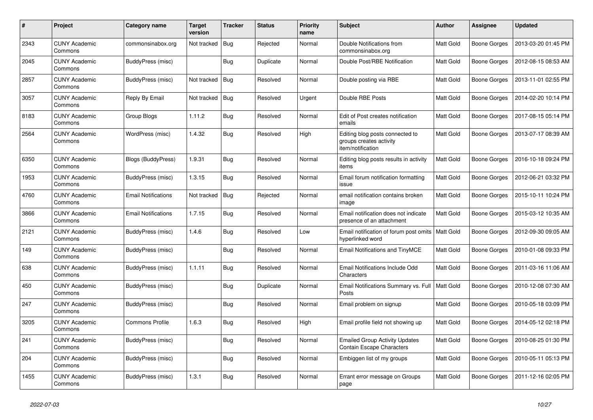| #    | Project                         | Category name              | <b>Target</b><br>version | <b>Tracker</b> | <b>Status</b> | <b>Priority</b><br>name | <b>Subject</b>                                                                  | <b>Author</b>    | <b>Assignee</b>     | <b>Updated</b>      |
|------|---------------------------------|----------------------------|--------------------------|----------------|---------------|-------------------------|---------------------------------------------------------------------------------|------------------|---------------------|---------------------|
| 2343 | <b>CUNY Academic</b><br>Commons | commonsinabox.org          | Not tracked              | Bug            | Rejected      | Normal                  | Double Notifications from<br>commonsinabox.org                                  | <b>Matt Gold</b> | <b>Boone Gorges</b> | 2013-03-20 01:45 PM |
| 2045 | <b>CUNY Academic</b><br>Commons | BuddyPress (misc)          |                          | <b>Bug</b>     | Duplicate     | Normal                  | Double Post/RBE Notification                                                    | Matt Gold        | <b>Boone Gorges</b> | 2012-08-15 08:53 AM |
| 2857 | <b>CUNY Academic</b><br>Commons | BuddyPress (misc)          | Not tracked              | <b>Bug</b>     | Resolved      | Normal                  | Double posting via RBE                                                          | Matt Gold        | <b>Boone Gorges</b> | 2013-11-01 02:55 PM |
| 3057 | <b>CUNY Academic</b><br>Commons | Reply By Email             | Not tracked              | Bug            | Resolved      | Urgent                  | Double RBE Posts                                                                | Matt Gold        | <b>Boone Gorges</b> | 2014-02-20 10:14 PM |
| 8183 | <b>CUNY Academic</b><br>Commons | Group Blogs                | 1.11.2                   | <b>Bug</b>     | Resolved      | Normal                  | Edit of Post creates notification<br>emails                                     | Matt Gold        | Boone Gorges        | 2017-08-15 05:14 PM |
| 2564 | <b>CUNY Academic</b><br>Commons | WordPress (misc)           | 1.4.32                   | Bug            | Resolved      | High                    | Editing blog posts connected to<br>groups creates activity<br>item/notification | Matt Gold        | <b>Boone Gorges</b> | 2013-07-17 08:39 AM |
| 6350 | <b>CUNY Academic</b><br>Commons | Blogs (BuddyPress)         | 1.9.31                   | <b>Bug</b>     | Resolved      | Normal                  | Editing blog posts results in activity<br>items                                 | Matt Gold        | <b>Boone Gorges</b> | 2016-10-18 09:24 PM |
| 1953 | <b>CUNY Academic</b><br>Commons | BuddyPress (misc)          | 1.3.15                   | Bug            | Resolved      | Normal                  | Email forum notification formatting<br>issue                                    | Matt Gold        | Boone Gorges        | 2012-06-21 03:32 PM |
| 4760 | <b>CUNY Academic</b><br>Commons | <b>Email Notifications</b> | Not tracked              | Bug            | Rejected      | Normal                  | email notification contains broken<br>image                                     | Matt Gold        | <b>Boone Gorges</b> | 2015-10-11 10:24 PM |
| 3866 | <b>CUNY Academic</b><br>Commons | <b>Email Notifications</b> | 1.7.15                   | <b>Bug</b>     | Resolved      | Normal                  | Email notification does not indicate<br>presence of an attachment               | Matt Gold        | <b>Boone Gorges</b> | 2015-03-12 10:35 AM |
| 2121 | <b>CUNY Academic</b><br>Commons | BuddyPress (misc)          | 1.4.6                    | Bug            | Resolved      | Low                     | Email notification of forum post omits<br>hyperlinked word                      | Matt Gold        | <b>Boone Gorges</b> | 2012-09-30 09:05 AM |
| 149  | <b>CUNY Academic</b><br>Commons | BuddyPress (misc)          |                          | <b>Bug</b>     | Resolved      | Normal                  | Email Notifications and TinyMCE                                                 | Matt Gold        | <b>Boone Gorges</b> | 2010-01-08 09:33 PM |
| 638  | <b>CUNY Academic</b><br>Commons | BuddyPress (misc)          | 1.1.11                   | <b>Bug</b>     | Resolved      | Normal                  | Email Notifications Include Odd<br>Characters                                   | Matt Gold        | <b>Boone Gorges</b> | 2011-03-16 11:06 AM |
| 450  | <b>CUNY Academic</b><br>Commons | BuddyPress (misc)          |                          | Bug            | Duplicate     | Normal                  | Email Notifications Summary vs. Full<br>Posts                                   | Matt Gold        | <b>Boone Gorges</b> | 2010-12-08 07:30 AM |
| 247  | <b>CUNY Academic</b><br>Commons | BuddyPress (misc)          |                          | <b>Bug</b>     | Resolved      | Normal                  | Email problem on signup                                                         | Matt Gold        | <b>Boone Gorges</b> | 2010-05-18 03:09 PM |
| 3205 | <b>CUNY Academic</b><br>Commons | Commons Profile            | 1.6.3                    | <b>Bug</b>     | Resolved      | High                    | Email profile field not showing up                                              | Matt Gold        | <b>Boone Gorges</b> | 2014-05-12 02:18 PM |
| 241  | <b>CUNY Academic</b><br>Commons | BuddyPress (misc)          |                          | Bug            | Resolved      | Normal                  | <b>Emailed Group Activity Updates</b><br><b>Contain Escape Characters</b>       | Matt Gold        | Boone Gorges        | 2010-08-25 01:30 PM |
| 204  | <b>CUNY Academic</b><br>Commons | BuddyPress (misc)          |                          | <b>Bug</b>     | Resolved      | Normal                  | Embiggen list of my groups                                                      | Matt Gold        | <b>Boone Gorges</b> | 2010-05-11 05:13 PM |
| 1455 | <b>CUNY Academic</b><br>Commons | BuddyPress (misc)          | 1.3.1                    | <b>Bug</b>     | Resolved      | Normal                  | Errant error message on Groups<br>page                                          | Matt Gold        | <b>Boone Gorges</b> | 2011-12-16 02:05 PM |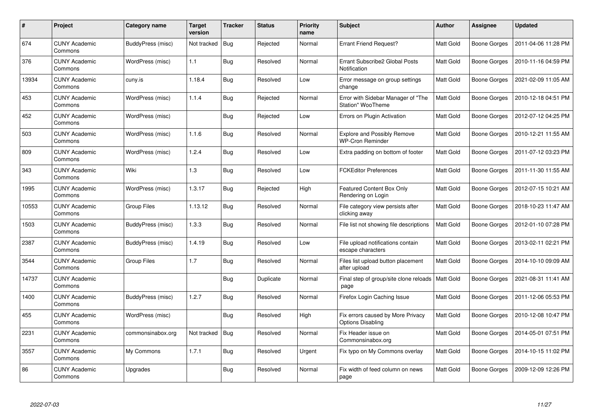| $\#$  | <b>Project</b>                  | Category name      | Target<br>version | <b>Tracker</b> | <b>Status</b> | <b>Priority</b><br>name | <b>Subject</b>                                                 | <b>Author</b>    | Assignee            | <b>Updated</b>      |
|-------|---------------------------------|--------------------|-------------------|----------------|---------------|-------------------------|----------------------------------------------------------------|------------------|---------------------|---------------------|
| 674   | <b>CUNY Academic</b><br>Commons | BuddyPress (misc)  | Not tracked       | <b>Bug</b>     | Rejected      | Normal                  | <b>Errant Friend Request?</b>                                  | <b>Matt Gold</b> | <b>Boone Gorges</b> | 2011-04-06 11:28 PM |
| 376   | <b>CUNY Academic</b><br>Commons | WordPress (misc)   | 1.1               | <b>Bug</b>     | Resolved      | Normal                  | <b>Errant Subscribe2 Global Posts</b><br>Notification          | <b>Matt Gold</b> | <b>Boone Gorges</b> | 2010-11-16 04:59 PM |
| 13934 | <b>CUNY Academic</b><br>Commons | cuny.is            | 1.18.4            | <b>Bug</b>     | Resolved      | Low                     | Error message on group settings<br>change                      | Matt Gold        | <b>Boone Gorges</b> | 2021-02-09 11:05 AM |
| 453   | <b>CUNY Academic</b><br>Commons | WordPress (misc)   | 1.1.4             | <b>Bug</b>     | Rejected      | Normal                  | Error with Sidebar Manager of "The<br><b>Station" WooTheme</b> | Matt Gold        | Boone Gorges        | 2010-12-18 04:51 PM |
| 452   | <b>CUNY Academic</b><br>Commons | WordPress (misc)   |                   | Bug            | Rejected      | Low                     | Errors on Plugin Activation                                    | Matt Gold        | Boone Gorges        | 2012-07-12 04:25 PM |
| 503   | <b>CUNY Academic</b><br>Commons | WordPress (misc)   | 1.1.6             | <b>Bug</b>     | Resolved      | Normal                  | <b>Explore and Possibly Remove</b><br><b>WP-Cron Reminder</b>  | Matt Gold        | Boone Gorges        | 2010-12-21 11:55 AM |
| 809   | <b>CUNY Academic</b><br>Commons | WordPress (misc)   | 1.2.4             | <b>Bug</b>     | Resolved      | Low                     | Extra padding on bottom of footer                              | Matt Gold        | <b>Boone Gorges</b> | 2011-07-12 03:23 PM |
| 343   | <b>CUNY Academic</b><br>Commons | Wiki               | 1.3               | <b>Bug</b>     | Resolved      | Low                     | <b>FCKEditor Preferences</b>                                   | Matt Gold        | <b>Boone Gorges</b> | 2011-11-30 11:55 AM |
| 1995  | <b>CUNY Academic</b><br>Commons | WordPress (misc)   | 1.3.17            | <b>Bug</b>     | Rejected      | High                    | <b>Featured Content Box Only</b><br>Rendering on Login         | Matt Gold        | <b>Boone Gorges</b> | 2012-07-15 10:21 AM |
| 10553 | <b>CUNY Academic</b><br>Commons | Group Files        | 1.13.12           | Bug            | Resolved      | Normal                  | File category view persists after<br>clicking away             | Matt Gold        | <b>Boone Gorges</b> | 2018-10-23 11:47 AM |
| 1503  | <b>CUNY Academic</b><br>Commons | BuddyPress (misc)  | 1.3.3             | <b>Bug</b>     | Resolved      | Normal                  | File list not showing file descriptions                        | Matt Gold        | <b>Boone Gorges</b> | 2012-01-10 07:28 PM |
| 2387  | <b>CUNY Academic</b><br>Commons | BuddyPress (misc)  | 1.4.19            | Bug            | Resolved      | Low                     | File upload notifications contain<br>escape characters         | Matt Gold        | <b>Boone Gorges</b> | 2013-02-11 02:21 PM |
| 3544  | <b>CUNY Academic</b><br>Commons | <b>Group Files</b> | 1.7               | Bug            | Resolved      | Normal                  | Files list upload button placement<br>after upload             | Matt Gold        | <b>Boone Gorges</b> | 2014-10-10 09:09 AM |
| 14737 | <b>CUNY Academic</b><br>Commons |                    |                   | Bug            | Duplicate     | Normal                  | Final step of group/site clone reloads<br>page                 | Matt Gold        | <b>Boone Gorges</b> | 2021-08-31 11:41 AM |
| 1400  | <b>CUNY Academic</b><br>Commons | BuddyPress (misc)  | 1.2.7             | <b>Bug</b>     | Resolved      | Normal                  | Firefox Login Caching Issue                                    | Matt Gold        | Boone Gorges        | 2011-12-06 05:53 PM |
| 455   | <b>CUNY Academic</b><br>Commons | WordPress (misc)   |                   | <b>Bug</b>     | Resolved      | High                    | Fix errors caused by More Privacy<br><b>Options Disabling</b>  | Matt Gold        | Boone Gorges        | 2010-12-08 10:47 PM |
| 2231  | <b>CUNY Academic</b><br>Commons | commonsinabox.org  | Not tracked       | Bug            | Resolved      | Normal                  | Fix Header issue on<br>Commonsinabox.org                       | Matt Gold        | Boone Gorges        | 2014-05-01 07:51 PM |
| 3557  | <b>CUNY Academic</b><br>Commons | My Commons         | 1.7.1             | <b>Bug</b>     | Resolved      | Urgent                  | Fix typo on My Commons overlay                                 | Matt Gold        | <b>Boone Gorges</b> | 2014-10-15 11:02 PM |
| 86    | <b>CUNY Academic</b><br>Commons | Upgrades           |                   | Bug            | Resolved      | Normal                  | Fix width of feed column on news<br>page                       | Matt Gold        | Boone Gorges        | 2009-12-09 12:26 PM |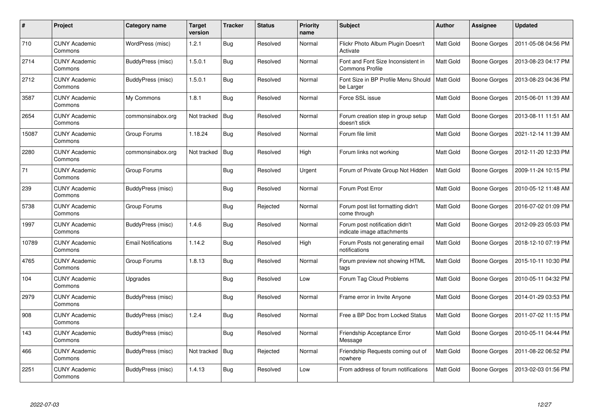| #     | Project                         | Category name              | Target<br>version | <b>Tracker</b> | <b>Status</b> | <b>Priority</b><br>name | Subject                                                      | <b>Author</b>    | Assignee            | <b>Updated</b>      |
|-------|---------------------------------|----------------------------|-------------------|----------------|---------------|-------------------------|--------------------------------------------------------------|------------------|---------------------|---------------------|
| 710   | <b>CUNY Academic</b><br>Commons | WordPress (misc)           | 1.2.1             | Bug            | Resolved      | Normal                  | Flickr Photo Album Plugin Doesn't<br>Activate                | Matt Gold        | Boone Gorges        | 2011-05-08 04:56 PM |
| 2714  | <b>CUNY Academic</b><br>Commons | BuddyPress (misc)          | 1.5.0.1           | <b>Bug</b>     | Resolved      | Normal                  | Font and Font Size Inconsistent in<br><b>Commons Profile</b> | <b>Matt Gold</b> | Boone Gorges        | 2013-08-23 04:17 PM |
| 2712  | <b>CUNY Academic</b><br>Commons | BuddyPress (misc)          | 1.5.0.1           | <b>Bug</b>     | Resolved      | Normal                  | Font Size in BP Profile Menu Should<br>be Larger             | Matt Gold        | <b>Boone Gorges</b> | 2013-08-23 04:36 PM |
| 3587  | <b>CUNY Academic</b><br>Commons | My Commons                 | 1.8.1             | Bug            | Resolved      | Normal                  | Force SSL issue                                              | Matt Gold        | Boone Gorges        | 2015-06-01 11:39 AM |
| 2654  | <b>CUNY Academic</b><br>Commons | commonsinabox.org          | Not tracked       | <b>Bug</b>     | Resolved      | Normal                  | Forum creation step in group setup<br>doesn't stick          | Matt Gold        | <b>Boone Gorges</b> | 2013-08-11 11:51 AM |
| 15087 | <b>CUNY Academic</b><br>Commons | Group Forums               | 1.18.24           | Bug            | Resolved      | Normal                  | Forum file limit                                             | Matt Gold        | <b>Boone Gorges</b> | 2021-12-14 11:39 AM |
| 2280  | <b>CUNY Academic</b><br>Commons | commonsinabox.org          | Not tracked       | Bug            | Resolved      | High                    | Forum links not working                                      | Matt Gold        | Boone Gorges        | 2012-11-20 12:33 PM |
| 71    | <b>CUNY Academic</b><br>Commons | Group Forums               |                   | Bug            | Resolved      | Urgent                  | Forum of Private Group Not Hidden                            | Matt Gold        | Boone Gorges        | 2009-11-24 10:15 PM |
| 239   | <b>CUNY Academic</b><br>Commons | BuddyPress (misc)          |                   | Bug            | Resolved      | Normal                  | Forum Post Error                                             | Matt Gold        | Boone Gorges        | 2010-05-12 11:48 AM |
| 5738  | <b>CUNY Academic</b><br>Commons | Group Forums               |                   | <b>Bug</b>     | Rejected      | Normal                  | Forum post list formatting didn't<br>come through            | <b>Matt Gold</b> | Boone Gorges        | 2016-07-02 01:09 PM |
| 1997  | <b>CUNY Academic</b><br>Commons | BuddyPress (misc)          | 1.4.6             | Bug            | Resolved      | Normal                  | Forum post notification didn't<br>indicate image attachments | Matt Gold        | Boone Gorges        | 2012-09-23 05:03 PM |
| 10789 | <b>CUNY Academic</b><br>Commons | <b>Email Notifications</b> | 1.14.2            | Bug            | Resolved      | High                    | Forum Posts not generating email<br>notifications            | Matt Gold        | Boone Gorges        | 2018-12-10 07:19 PM |
| 4765  | <b>CUNY Academic</b><br>Commons | Group Forums               | 1.8.13            | <b>Bug</b>     | Resolved      | Normal                  | Forum preview not showing HTML<br>tags                       | Matt Gold        | Boone Gorges        | 2015-10-11 10:30 PM |
| 104   | <b>CUNY Academic</b><br>Commons | Upgrades                   |                   | <b>Bug</b>     | Resolved      | Low                     | Forum Tag Cloud Problems                                     | Matt Gold        | Boone Gorges        | 2010-05-11 04:32 PM |
| 2979  | <b>CUNY Academic</b><br>Commons | BuddyPress (misc)          |                   | <b>Bug</b>     | Resolved      | Normal                  | Frame error in Invite Anyone                                 | Matt Gold        | Boone Gorges        | 2014-01-29 03:53 PM |
| 908   | <b>CUNY Academic</b><br>Commons | BuddyPress (misc)          | 1.2.4             | Bug            | Resolved      | Normal                  | Free a BP Doc from Locked Status                             | Matt Gold        | Boone Gorges        | 2011-07-02 11:15 PM |
| 143   | <b>CUNY Academic</b><br>Commons | BuddyPress (misc)          |                   | <b>Bug</b>     | Resolved      | Normal                  | Friendship Acceptance Error<br>Message                       | Matt Gold        | Boone Gorges        | 2010-05-11 04:44 PM |
| 466   | <b>CUNY Academic</b><br>Commons | BuddyPress (misc)          | Not tracked       | <b>Bug</b>     | Rejected      | Normal                  | Friendship Requests coming out of<br>nowhere                 | Matt Gold        | Boone Gorges        | 2011-08-22 06:52 PM |
| 2251  | CUNY Academic<br>Commons        | BuddyPress (misc)          | 1.4.13            | Bug            | Resolved      | Low                     | From address of forum notifications                          | Matt Gold        | <b>Boone Gorges</b> | 2013-02-03 01:56 PM |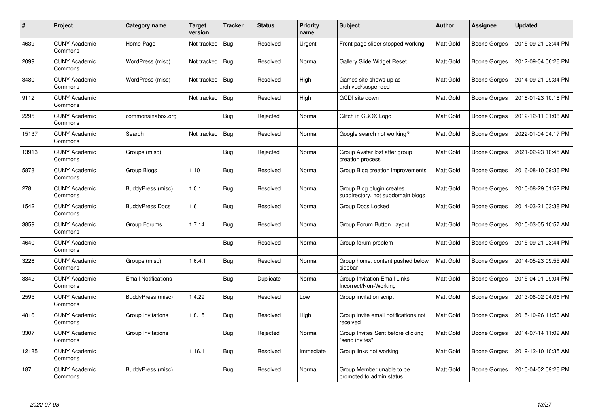| $\#$  | Project                         | Category name              | Target<br>version | <b>Tracker</b> | <b>Status</b> | <b>Priority</b><br>name | <b>Subject</b>                                                 | <b>Author</b>    | Assignee            | <b>Updated</b>      |
|-------|---------------------------------|----------------------------|-------------------|----------------|---------------|-------------------------|----------------------------------------------------------------|------------------|---------------------|---------------------|
| 4639  | <b>CUNY Academic</b><br>Commons | Home Page                  | Not tracked       | Bug            | Resolved      | Urgent                  | Front page slider stopped working                              | <b>Matt Gold</b> | <b>Boone Gorges</b> | 2015-09-21 03:44 PM |
| 2099  | <b>CUNY Academic</b><br>Commons | WordPress (misc)           | Not tracked       | Bug            | Resolved      | Normal                  | Gallery Slide Widget Reset                                     | Matt Gold        | <b>Boone Gorges</b> | 2012-09-04 06:26 PM |
| 3480  | <b>CUNY Academic</b><br>Commons | WordPress (misc)           | Not tracked       | <b>Bug</b>     | Resolved      | High                    | Games site shows up as<br>archived/suspended                   | Matt Gold        | <b>Boone Gorges</b> | 2014-09-21 09:34 PM |
| 9112  | <b>CUNY Academic</b><br>Commons |                            | Not tracked       | <b>Bug</b>     | Resolved      | High                    | GCDI site down                                                 | <b>Matt Gold</b> | Boone Gorges        | 2018-01-23 10:18 PM |
| 2295  | <b>CUNY Academic</b><br>Commons | commonsinabox.org          |                   | <b>Bug</b>     | Rejected      | Normal                  | Glitch in CBOX Logo                                            | Matt Gold        | Boone Gorges        | 2012-12-11 01:08 AM |
| 15137 | <b>CUNY Academic</b><br>Commons | Search                     | Not tracked       | <b>Bug</b>     | Resolved      | Normal                  | Google search not working?                                     | Matt Gold        | <b>Boone Gorges</b> | 2022-01-04 04:17 PM |
| 13913 | <b>CUNY Academic</b><br>Commons | Groups (misc)              |                   | Bug            | Rejected      | Normal                  | Group Avatar lost after group<br>creation process              | Matt Gold        | <b>Boone Gorges</b> | 2021-02-23 10:45 AM |
| 5878  | <b>CUNY Academic</b><br>Commons | Group Blogs                | 1.10              | Bug            | Resolved      | Normal                  | Group Blog creation improvements                               | Matt Gold        | Boone Gorges        | 2016-08-10 09:36 PM |
| 278   | <b>CUNY Academic</b><br>Commons | BuddyPress (misc)          | 1.0.1             | Bug            | Resolved      | Normal                  | Group Blog plugin creates<br>subdirectory, not subdomain blogs | <b>Matt Gold</b> | Boone Gorges        | 2010-08-29 01:52 PM |
| 1542  | <b>CUNY Academic</b><br>Commons | <b>BuddyPress Docs</b>     | 1.6               | Bug            | Resolved      | Normal                  | Group Docs Locked                                              | Matt Gold        | Boone Gorges        | 2014-03-21 03:38 PM |
| 3859  | <b>CUNY Academic</b><br>Commons | Group Forums               | 1.7.14            | Bug            | Resolved      | Normal                  | Group Forum Button Layout                                      | Matt Gold        | <b>Boone Gorges</b> | 2015-03-05 10:57 AM |
| 4640  | <b>CUNY Academic</b><br>Commons |                            |                   | Bug            | Resolved      | Normal                  | Group forum problem                                            | Matt Gold        | <b>Boone Gorges</b> | 2015-09-21 03:44 PM |
| 3226  | <b>CUNY Academic</b><br>Commons | Groups (misc)              | 1.6.4.1           | Bug            | Resolved      | Normal                  | Group home: content pushed below<br>sidebar                    | Matt Gold        | <b>Boone Gorges</b> | 2014-05-23 09:55 AM |
| 3342  | <b>CUNY Academic</b><br>Commons | <b>Email Notifications</b> |                   | Bug            | Duplicate     | Normal                  | Group Invitation Email Links<br>Incorrect/Non-Working          | Matt Gold        | Boone Gorges        | 2015-04-01 09:04 PM |
| 2595  | <b>CUNY Academic</b><br>Commons | BuddyPress (misc)          | 1.4.29            | Bug            | Resolved      | Low                     | Group invitation script                                        | Matt Gold        | <b>Boone Gorges</b> | 2013-06-02 04:06 PM |
| 4816  | <b>CUNY Academic</b><br>Commons | Group Invitations          | 1.8.15            | <b>Bug</b>     | Resolved      | High                    | Group invite email notifications not<br>received               | Matt Gold        | <b>Boone Gorges</b> | 2015-10-26 11:56 AM |
| 3307  | <b>CUNY Academic</b><br>Commons | Group Invitations          |                   | Bug            | Rejected      | Normal                  | Group Invites Sent before clicking<br>"send invites"           | Matt Gold        | <b>Boone Gorges</b> | 2014-07-14 11:09 AM |
| 12185 | <b>CUNY Academic</b><br>Commons |                            | 1.16.1            | Bug            | Resolved      | Immediate               | Group links not working                                        | Matt Gold        | Boone Gorges        | 2019-12-10 10:35 AM |
| 187   | <b>CUNY Academic</b><br>Commons | BuddyPress (misc)          |                   | <b>Bug</b>     | Resolved      | Normal                  | Group Member unable to be<br>promoted to admin status          | Matt Gold        | Boone Gorges        | 2010-04-02 09:26 PM |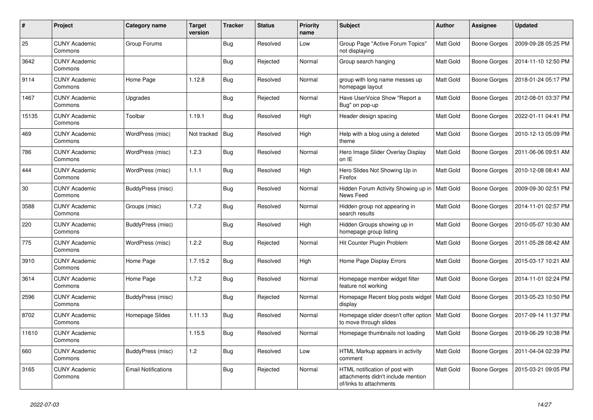| #     | Project                         | Category name              | <b>Target</b><br>version | <b>Tracker</b> | <b>Status</b> | <b>Priority</b><br>name | <b>Subject</b>                                                                                  | <b>Author</b>    | Assignee            | <b>Updated</b>      |
|-------|---------------------------------|----------------------------|--------------------------|----------------|---------------|-------------------------|-------------------------------------------------------------------------------------------------|------------------|---------------------|---------------------|
| 25    | <b>CUNY Academic</b><br>Commons | Group Forums               |                          | Bug            | Resolved      | Low                     | Group Page "Active Forum Topics"<br>not displaying                                              | Matt Gold        | Boone Gorges        | 2009-09-28 05:25 PM |
| 3642  | <b>CUNY Academic</b><br>Commons |                            |                          | Bug            | Rejected      | Normal                  | Group search hanging                                                                            | Matt Gold        | Boone Gorges        | 2014-11-10 12:50 PM |
| 9114  | <b>CUNY Academic</b><br>Commons | Home Page                  | 1.12.8                   | <b>Bug</b>     | Resolved      | Normal                  | group with long name messes up<br>homepage layout                                               | Matt Gold        | Boone Gorges        | 2018-01-24 05:17 PM |
| 1467  | <b>CUNY Academic</b><br>Commons | Upgrades                   |                          | Bug            | Rejected      | Normal                  | Have UserVoice Show "Report a<br>Bug" on pop-up                                                 | Matt Gold        | <b>Boone Gorges</b> | 2012-08-01 03:37 PM |
| 15135 | <b>CUNY Academic</b><br>Commons | Toolbar                    | 1.19.1                   | <b>Bug</b>     | Resolved      | High                    | Header design spacing                                                                           | Matt Gold        | Boone Gorges        | 2022-01-11 04:41 PM |
| 469   | <b>CUNY Academic</b><br>Commons | WordPress (misc)           | Not tracked              | Bug            | Resolved      | High                    | Help with a blog using a deleted<br>theme                                                       | Matt Gold        | Boone Gorges        | 2010-12-13 05:09 PM |
| 786   | <b>CUNY Academic</b><br>Commons | WordPress (misc)           | 1.2.3                    | <b>Bug</b>     | Resolved      | Normal                  | Hero Image Slider Overlay Display<br>on IE                                                      | Matt Gold        | Boone Gorges        | 2011-06-06 09:51 AM |
| 444   | CUNY Academic<br>Commons        | WordPress (misc)           | 1.1.1                    | <b>Bug</b>     | Resolved      | High                    | Hero Slides Not Showing Up in<br>Firefox                                                        | Matt Gold        | Boone Gorges        | 2010-12-08 08:41 AM |
| 30    | <b>CUNY Academic</b><br>Commons | BuddyPress (misc)          |                          | <b>Bug</b>     | Resolved      | Normal                  | Hidden Forum Activity Showing up in<br>News Feed                                                | Matt Gold        | Boone Gorges        | 2009-09-30 02:51 PM |
| 3588  | <b>CUNY Academic</b><br>Commons | Groups (misc)              | 1.7.2                    | <b>Bug</b>     | Resolved      | Normal                  | Hidden group not appearing in<br>search results                                                 | Matt Gold        | Boone Gorges        | 2014-11-01 02:57 PM |
| 220   | <b>CUNY Academic</b><br>Commons | BuddyPress (misc)          |                          | <b>Bug</b>     | Resolved      | High                    | Hidden Groups showing up in<br>homepage group listing                                           | Matt Gold        | Boone Gorges        | 2010-05-07 10:30 AM |
| 775   | <b>CUNY Academic</b><br>Commons | WordPress (misc)           | 1.2.2                    | Bug            | Rejected      | Normal                  | Hit Counter Plugin Problem                                                                      | <b>Matt Gold</b> | Boone Gorges        | 2011-05-28 08:42 AM |
| 3910  | <b>CUNY Academic</b><br>Commons | Home Page                  | 1.7.15.2                 | Bug            | Resolved      | High                    | Home Page Display Errors                                                                        | Matt Gold        | Boone Gorges        | 2015-03-17 10:21 AM |
| 3614  | <b>CUNY Academic</b><br>Commons | Home Page                  | 1.7.2                    | <b>Bug</b>     | Resolved      | Normal                  | Homepage member widget filter<br>feature not working                                            | Matt Gold        | Boone Gorges        | 2014-11-01 02:24 PM |
| 2596  | <b>CUNY Academic</b><br>Commons | BuddyPress (misc)          |                          | <b>Bug</b>     | Rejected      | Normal                  | Homepage Recent blog posts widget<br>display                                                    | Matt Gold        | Boone Gorges        | 2013-05-23 10:50 PM |
| 8702  | <b>CUNY Academic</b><br>Commons | Homepage Slides            | 1.11.13                  | <b>Bug</b>     | Resolved      | Normal                  | Homepage slider doesn't offer option<br>to move through slides                                  | Matt Gold        | Boone Gorges        | 2017-09-14 11:37 PM |
| 11610 | <b>CUNY Academic</b><br>Commons |                            | 1.15.5                   | <b>Bug</b>     | Resolved      | Normal                  | Homepage thumbnails not loading                                                                 | Matt Gold        | Boone Gorges        | 2019-06-29 10:38 PM |
| 660   | <b>CUNY Academic</b><br>Commons | BuddyPress (misc)          | 1.2                      | Bug            | Resolved      | Low                     | HTML Markup appears in activity<br>comment                                                      | Matt Gold        | Boone Gorges        | 2011-04-04 02:39 PM |
| 3165  | <b>CUNY Academic</b><br>Commons | <b>Email Notifications</b> |                          | Bug            | Rejected      | Normal                  | HTML notification of post with<br>attachments didn't include mention<br>of/links to attachments | Matt Gold        | Boone Gorges        | 2015-03-21 09:05 PM |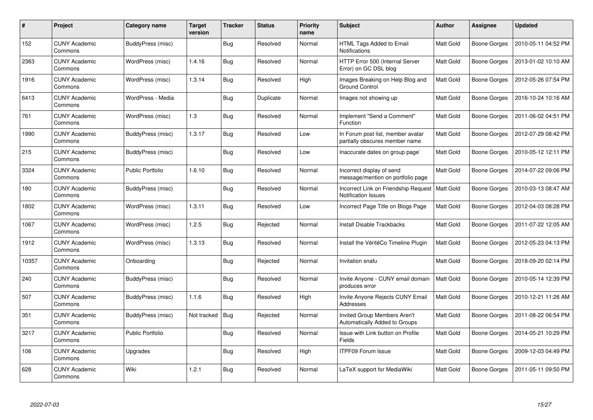| #     | Project                         | Category name           | <b>Target</b><br>version | <b>Tracker</b> | <b>Status</b> | <b>Priority</b><br>name | <b>Subject</b>                                                       | <b>Author</b>    | Assignee            | <b>Updated</b>      |
|-------|---------------------------------|-------------------------|--------------------------|----------------|---------------|-------------------------|----------------------------------------------------------------------|------------------|---------------------|---------------------|
| 152   | <b>CUNY Academic</b><br>Commons | BuddyPress (misc)       |                          | <b>Bug</b>     | Resolved      | Normal                  | HTML Tags Added to Email<br>Notifications                            | Matt Gold        | Boone Gorges        | 2010-05-11 04:52 PM |
| 2363  | <b>CUNY Academic</b><br>Commons | WordPress (misc)        | 1.4.16                   | Bug            | Resolved      | Normal                  | HTTP Error 500 (Internal Server<br>Error) on GC DSL blog             | Matt Gold        | Boone Gorges        | 2013-01-02 10:10 AM |
| 1916  | <b>CUNY Academic</b><br>Commons | WordPress (misc)        | 1.3.14                   | <b>Bug</b>     | Resolved      | High                    | Images Breaking on Help Blog and<br><b>Ground Control</b>            | Matt Gold        | Boone Gorges        | 2012-05-26 07:54 PM |
| 6413  | <b>CUNY Academic</b><br>Commons | WordPress - Media       |                          | <b>Bug</b>     | Duplicate     | Normal                  | Images not showing up                                                | Matt Gold        | Boone Gorges        | 2016-10-24 10:16 AM |
| 761   | <b>CUNY Academic</b><br>Commons | WordPress (misc)        | 1.3                      | Bug            | Resolved      | Normal                  | Implement "Send a Comment"<br>Function                               | Matt Gold        | Boone Gorges        | 2011-06-02 04:51 PM |
| 1990  | <b>CUNY Academic</b><br>Commons | BuddyPress (misc)       | 1.3.17                   | Bug            | Resolved      | Low                     | In Forum post list, member avatar<br>partially obscures member name  | Matt Gold        | Boone Gorges        | 2012-07-29 08:42 PM |
| 215   | <b>CUNY Academic</b><br>Commons | BuddyPress (misc)       |                          | <b>Bug</b>     | Resolved      | Low                     | Inaccurate dates on group page`                                      | Matt Gold        | Boone Gorges        | 2010-05-12 12:11 PM |
| 3324  | <b>CUNY Academic</b><br>Commons | <b>Public Portfolio</b> | 1.6.10                   | <b>Bug</b>     | Resolved      | Normal                  | Incorrect display of send<br>message/mention on portfolio page       | Matt Gold        | Boone Gorges        | 2014-07-22 09:06 PM |
| 180   | <b>CUNY Academic</b><br>Commons | BuddyPress (misc)       |                          | <b>Bug</b>     | Resolved      | Normal                  | Incorrect Link on Friendship Request<br>Notification Issues          | <b>Matt Gold</b> | Boone Gorges        | 2010-03-13 08:47 AM |
| 1802  | <b>CUNY Academic</b><br>Commons | WordPress (misc)        | 1.3.11                   | <b>Bug</b>     | Resolved      | Low                     | Incorrect Page Title on Blogs Page                                   | <b>Matt Gold</b> | Boone Gorges        | 2012-04-03 08:28 PM |
| 1067  | <b>CUNY Academic</b><br>Commons | WordPress (misc)        | 1.2.5                    | Bug            | Rejected      | Normal                  | Install Disable Trackbacks                                           | Matt Gold        | Boone Gorges        | 2011-07-22 12:05 AM |
| 1912  | <b>CUNY Academic</b><br>Commons | WordPress (misc)        | 1.3.13                   | Bug            | Resolved      | Normal                  | Install the VéritéCo Timeline Plugin                                 | Matt Gold        | <b>Boone Gorges</b> | 2012-05-23 04:13 PM |
| 10357 | <b>CUNY Academic</b><br>Commons | Onboarding              |                          | <b>Bug</b>     | Rejected      | Normal                  | Invitation snafu                                                     | Matt Gold        | Boone Gorges        | 2018-09-20 02:14 PM |
| 240   | <b>CUNY Academic</b><br>Commons | BuddyPress (misc)       |                          | <b>Bug</b>     | Resolved      | Normal                  | Invite Anyone - CUNY email domain<br>produces error                  | <b>Matt Gold</b> | Boone Gorges        | 2010-05-14 12:39 PM |
| 507   | <b>CUNY Academic</b><br>Commons | BuddyPress (misc)       | 1.1.6                    | <b>Bug</b>     | Resolved      | High                    | Invite Anyone Rejects CUNY Email<br>Addresses                        | Matt Gold        | Boone Gorges        | 2010-12-21 11:26 AM |
| 351   | <b>CUNY Academic</b><br>Commons | BuddyPress (misc)       | Not tracked              | Bug            | Rejected      | Normal                  | <b>Invited Group Members Aren't</b><br>Automatically Added to Groups | Matt Gold        | Boone Gorges        | 2011-08-22 06:54 PM |
| 3217  | <b>CUNY Academic</b><br>Commons | <b>Public Portfolio</b> |                          | Bug            | Resolved      | Normal                  | Issue with Link button on Profile<br>Fields                          | Matt Gold        | Boone Gorges        | 2014-05-21 10:29 PM |
| 106   | <b>CUNY Academic</b><br>Commons | Upgrades                |                          | Bug            | Resolved      | High                    | <b>ITPF09 Forum Issue</b>                                            | Matt Gold        | Boone Gorges        | 2009-12-03 04:49 PM |
| 628   | <b>CUNY Academic</b><br>Commons | Wiki                    | 1.2.1                    | <b>Bug</b>     | Resolved      | Normal                  | LaTeX support for MediaWiki                                          | Matt Gold        | Boone Gorges        | 2011-05-11 09:50 PM |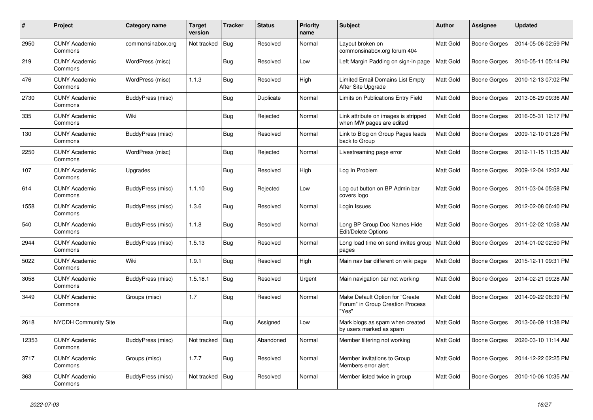| #     | Project                         | Category name     | <b>Target</b><br>version | <b>Tracker</b> | <b>Status</b> | <b>Priority</b><br>name | <b>Subject</b>                                                               | <b>Author</b>    | Assignee            | <b>Updated</b>      |
|-------|---------------------------------|-------------------|--------------------------|----------------|---------------|-------------------------|------------------------------------------------------------------------------|------------------|---------------------|---------------------|
| 2950  | <b>CUNY Academic</b><br>Commons | commonsinabox.org | Not tracked              | Bug            | Resolved      | Normal                  | Layout broken on<br>commonsinabox.org forum 404                              | Matt Gold        | Boone Gorges        | 2014-05-06 02:59 PM |
| 219   | <b>CUNY Academic</b><br>Commons | WordPress (misc)  |                          | <b>Bug</b>     | Resolved      | Low                     | Left Margin Padding on sign-in page                                          | Matt Gold        | Boone Gorges        | 2010-05-11 05:14 PM |
| 476   | <b>CUNY Academic</b><br>Commons | WordPress (misc)  | 1.1.3                    | <b>Bug</b>     | Resolved      | High                    | Limited Email Domains List Empty<br>After Site Upgrade                       | Matt Gold        | Boone Gorges        | 2010-12-13 07:02 PM |
| 2730  | <b>CUNY Academic</b><br>Commons | BuddyPress (misc) |                          | Bug            | Duplicate     | Normal                  | Limits on Publications Entry Field                                           | Matt Gold        | <b>Boone Gorges</b> | 2013-08-29 09:36 AM |
| 335   | <b>CUNY Academic</b><br>Commons | Wiki              |                          | Bug            | Rejected      | Normal                  | Link attribute on images is stripped<br>when MW pages are edited             | Matt Gold        | Boone Gorges        | 2016-05-31 12:17 PM |
| 130   | <b>CUNY Academic</b><br>Commons | BuddyPress (misc) |                          | Bug            | Resolved      | Normal                  | Link to Blog on Group Pages leads<br>back to Group                           | <b>Matt Gold</b> | Boone Gorges        | 2009-12-10 01:28 PM |
| 2250  | <b>CUNY Academic</b><br>Commons | WordPress (misc)  |                          | <b>Bug</b>     | Rejected      | Normal                  | Livestreaming page error                                                     | Matt Gold        | Boone Gorges        | 2012-11-15 11:35 AM |
| 107   | CUNY Academic<br>Commons        | Upgrades          |                          | <b>Bug</b>     | Resolved      | High                    | Log In Problem                                                               | Matt Gold        | Boone Gorges        | 2009-12-04 12:02 AM |
| 614   | <b>CUNY Academic</b><br>Commons | BuddyPress (misc) | 1.1.10                   | <b>Bug</b>     | Rejected      | Low                     | Log out button on BP Admin bar<br>covers logo                                | Matt Gold        | Boone Gorges        | 2011-03-04 05:58 PM |
| 1558  | <b>CUNY Academic</b><br>Commons | BuddyPress (misc) | 1.3.6                    | Bug            | Resolved      | Normal                  | Login Issues                                                                 | Matt Gold        | Boone Gorges        | 2012-02-08 06:40 PM |
| 540   | <b>CUNY Academic</b><br>Commons | BuddyPress (misc) | 1.1.8                    | <b>Bug</b>     | Resolved      | Normal                  | Long BP Group Doc Names Hide<br>Edit/Delete Options                          | Matt Gold        | Boone Gorges        | 2011-02-02 10:58 AM |
| 2944  | <b>CUNY Academic</b><br>Commons | BuddyPress (misc) | 1.5.13                   | Bug            | Resolved      | Normal                  | Long load time on send invites group<br>pages                                | Matt Gold        | Boone Gorges        | 2014-01-02 02:50 PM |
| 5022  | <b>CUNY Academic</b><br>Commons | Wiki              | 1.9.1                    | <b>Bug</b>     | Resolved      | High                    | Main nav bar different on wiki page                                          | Matt Gold        | Boone Gorges        | 2015-12-11 09:31 PM |
| 3058  | <b>CUNY Academic</b><br>Commons | BuddyPress (misc) | 1.5.18.1                 | <b>Bug</b>     | Resolved      | Urgent                  | Main navigation bar not working                                              | Matt Gold        | Boone Gorges        | 2014-02-21 09:28 AM |
| 3449  | <b>CUNY Academic</b><br>Commons | Groups (misc)     | 1.7                      | Bug            | Resolved      | Normal                  | Make Default Option for "Create<br>Forum" in Group Creation Process<br>"Yes" | Matt Gold        | Boone Gorges        | 2014-09-22 08:39 PM |
| 2618  | <b>NYCDH Community Site</b>     |                   |                          | <b>Bug</b>     | Assigned      | Low                     | Mark blogs as spam when created<br>by users marked as spam                   | Matt Gold        | Boone Gorges        | 2013-06-09 11:38 PM |
| 12353 | <b>CUNY Academic</b><br>Commons | BuddyPress (misc) | Not tracked              | <b>Bug</b>     | Abandoned     | Normal                  | Member filtering not working                                                 | Matt Gold        | Boone Gorges        | 2020-03-10 11:14 AM |
| 3717  | <b>CUNY Academic</b><br>Commons | Groups (misc)     | 1.7.7                    | <b>Bug</b>     | Resolved      | Normal                  | Member invitations to Group<br>Members error alert                           | Matt Gold        | Boone Gorges        | 2014-12-22 02:25 PM |
| 363   | <b>CUNY Academic</b><br>Commons | BuddyPress (misc) | Not tracked              | <b>Bug</b>     | Resolved      | Normal                  | Member listed twice in group                                                 | Matt Gold        | Boone Gorges        | 2010-10-06 10:35 AM |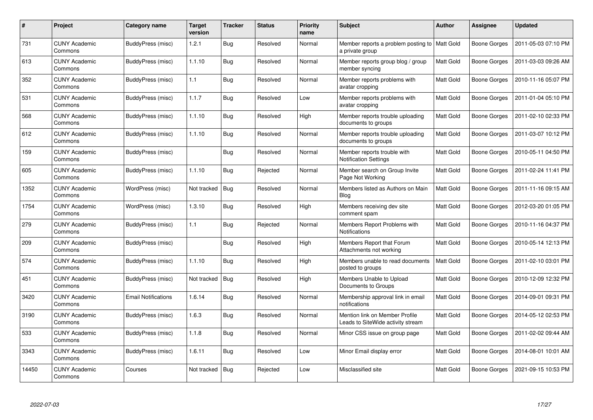| $\#$  | <b>Project</b>                  | Category name              | <b>Target</b><br>version | <b>Tracker</b> | <b>Status</b> | <b>Priority</b><br>name | <b>Subject</b>                                                      | <b>Author</b>    | Assignee            | <b>Updated</b>      |
|-------|---------------------------------|----------------------------|--------------------------|----------------|---------------|-------------------------|---------------------------------------------------------------------|------------------|---------------------|---------------------|
| 731   | <b>CUNY Academic</b><br>Commons | BuddyPress (misc)          | 1.2.1                    | <b>Bug</b>     | Resolved      | Normal                  | Member reports a problem posting to   Matt Gold<br>a private group  |                  | <b>Boone Gorges</b> | 2011-05-03 07:10 PM |
| 613   | <b>CUNY Academic</b><br>Commons | BuddyPress (misc)          | 1.1.10                   | <b>Bug</b>     | Resolved      | Normal                  | Member reports group blog / group<br>member syncing                 | Matt Gold        | <b>Boone Gorges</b> | 2011-03-03 09:26 AM |
| 352   | <b>CUNY Academic</b><br>Commons | BuddyPress (misc)          | 1.1                      | <b>Bug</b>     | Resolved      | Normal                  | Member reports problems with<br>avatar cropping                     | Matt Gold        | <b>Boone Gorges</b> | 2010-11-16 05:07 PM |
| 531   | <b>CUNY Academic</b><br>Commons | BuddyPress (misc)          | 1.1.7                    | <b>Bug</b>     | Resolved      | Low                     | Member reports problems with<br>avatar cropping                     | Matt Gold        | Boone Gorges        | 2011-01-04 05:10 PM |
| 568   | <b>CUNY Academic</b><br>Commons | BuddyPress (misc)          | 1.1.10                   | <b>Bug</b>     | Resolved      | High                    | Member reports trouble uploading<br>documents to groups             | Matt Gold        | Boone Gorges        | 2011-02-10 02:33 PM |
| 612   | <b>CUNY Academic</b><br>Commons | BuddyPress (misc)          | 1.1.10                   | <b>Bug</b>     | Resolved      | Normal                  | Member reports trouble uploading<br>documents to groups             | Matt Gold        | Boone Gorges        | 2011-03-07 10:12 PM |
| 159   | <b>CUNY Academic</b><br>Commons | BuddyPress (misc)          |                          | <b>Bug</b>     | Resolved      | Normal                  | Member reports trouble with<br><b>Notification Settings</b>         | Matt Gold        | <b>Boone Gorges</b> | 2010-05-11 04:50 PM |
| 605   | <b>CUNY Academic</b><br>Commons | BuddyPress (misc)          | 1.1.10                   | Bug            | Rejected      | Normal                  | Member search on Group Invite<br>Page Not Working                   | Matt Gold        | <b>Boone Gorges</b> | 2011-02-24 11:41 PM |
| 1352  | <b>CUNY Academic</b><br>Commons | WordPress (misc)           | Not tracked              | <b>Bug</b>     | Resolved      | Normal                  | Members listed as Authors on Main<br>Blog                           | Matt Gold        | <b>Boone Gorges</b> | 2011-11-16 09:15 AM |
| 1754  | <b>CUNY Academic</b><br>Commons | WordPress (misc)           | 1.3.10                   | Bug            | Resolved      | High                    | Members receiving dev site<br>comment spam                          | <b>Matt Gold</b> | <b>Boone Gorges</b> | 2012-03-20 01:05 PM |
| 279   | <b>CUNY Academic</b><br>Commons | BuddyPress (misc)          | 1.1                      | Bug            | Rejected      | Normal                  | Members Report Problems with<br>Notifications                       | Matt Gold        | <b>Boone Gorges</b> | 2010-11-16 04:37 PM |
| 209   | <b>CUNY Academic</b><br>Commons | BuddyPress (misc)          |                          | <b>Bug</b>     | Resolved      | High                    | Members Report that Forum<br>Attachments not working                | Matt Gold        | <b>Boone Gorges</b> | 2010-05-14 12:13 PM |
| 574   | <b>CUNY Academic</b><br>Commons | BuddyPress (misc)          | 1.1.10                   | Bug            | Resolved      | High                    | Members unable to read documents<br>posted to groups                | Matt Gold        | Boone Gorges        | 2011-02-10 03:01 PM |
| 451   | <b>CUNY Academic</b><br>Commons | BuddyPress (misc)          | Not tracked              | Bug            | Resolved      | High                    | Members Unable to Upload<br>Documents to Groups                     | Matt Gold        | <b>Boone Gorges</b> | 2010-12-09 12:32 PM |
| 3420  | <b>CUNY Academic</b><br>Commons | <b>Email Notifications</b> | 1.6.14                   | <b>Bug</b>     | Resolved      | Normal                  | Membership approval link in email<br>notifications                  | Matt Gold        | Boone Gorges        | 2014-09-01 09:31 PM |
| 3190  | <b>CUNY Academic</b><br>Commons | BuddyPress (misc)          | 1.6.3                    | <b>Bug</b>     | Resolved      | Normal                  | Mention link on Member Profile<br>Leads to SiteWide activity stream | Matt Gold        | Boone Gorges        | 2014-05-12 02:53 PM |
| 533   | <b>CUNY Academic</b><br>Commons | BuddyPress (misc)          | 1.1.8                    | Bug            | Resolved      | Normal                  | Minor CSS issue on group page                                       | Matt Gold        | Boone Gorges        | 2011-02-02 09:44 AM |
| 3343  | <b>CUNY Academic</b><br>Commons | BuddyPress (misc)          | 1.6.11                   | <b>Bug</b>     | Resolved      | Low                     | Minor Email display error                                           | Matt Gold        | <b>Boone Gorges</b> | 2014-08-01 10:01 AM |
| 14450 | <b>CUNY Academic</b><br>Commons | Courses                    | Not tracked              | Bug            | Rejected      | Low                     | Misclassified site                                                  | Matt Gold        | Boone Gorges        | 2021-09-15 10:53 PM |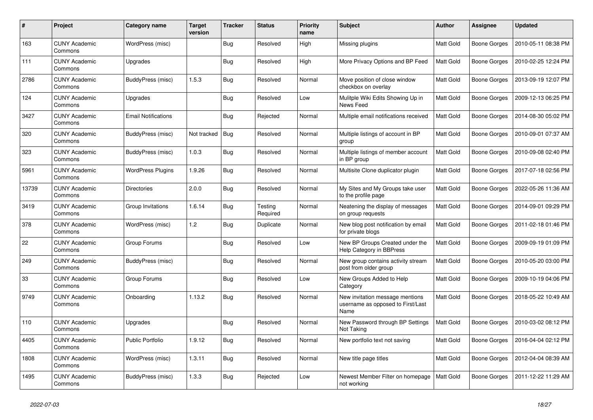| #     | Project                         | Category name              | <b>Target</b><br>version | <b>Tracker</b> | <b>Status</b>       | <b>Priority</b><br>name | <b>Subject</b>                                                               | <b>Author</b>    | Assignee     | <b>Updated</b>      |
|-------|---------------------------------|----------------------------|--------------------------|----------------|---------------------|-------------------------|------------------------------------------------------------------------------|------------------|--------------|---------------------|
| 163   | <b>CUNY Academic</b><br>Commons | WordPress (misc)           |                          | <b>Bug</b>     | Resolved            | High                    | Missing plugins                                                              | Matt Gold        | Boone Gorges | 2010-05-11 08:38 PM |
| 111   | <b>CUNY Academic</b><br>Commons | Upgrades                   |                          | Bug            | Resolved            | High                    | More Privacy Options and BP Feed                                             | Matt Gold        | Boone Gorges | 2010-02-25 12:24 PM |
| 2786  | <b>CUNY Academic</b><br>Commons | BuddyPress (misc)          | 1.5.3                    | <b>Bug</b>     | Resolved            | Normal                  | Move position of close window<br>checkbox on overlay                         | Matt Gold        | Boone Gorges | 2013-09-19 12:07 PM |
| 124   | <b>CUNY Academic</b><br>Commons | Upgrades                   |                          | Bug            | Resolved            | Low                     | Mulitple Wiki Edits Showing Up in<br>News Feed                               | Matt Gold        | Boone Gorges | 2009-12-13 06:25 PM |
| 3427  | <b>CUNY Academic</b><br>Commons | <b>Email Notifications</b> |                          | <b>Bug</b>     | Rejected            | Normal                  | Multiple email notifications received                                        | Matt Gold        | Boone Gorges | 2014-08-30 05:02 PM |
| 320   | <b>CUNY Academic</b><br>Commons | BuddyPress (misc)          | Not tracked              | Bug            | Resolved            | Normal                  | Multiple listings of account in BP<br>group                                  | Matt Gold        | Boone Gorges | 2010-09-01 07:37 AM |
| 323   | <b>CUNY Academic</b><br>Commons | BuddyPress (misc)          | 1.0.3                    | <b>Bug</b>     | Resolved            | Normal                  | Multiple listings of member account<br>in BP group                           | Matt Gold        | Boone Gorges | 2010-09-08 02:40 PM |
| 5961  | CUNY Academic<br>Commons        | <b>WordPress Plugins</b>   | 1.9.26                   | Bug            | Resolved            | Normal                  | Multisite Clone duplicator plugin                                            | Matt Gold        | Boone Gorges | 2017-07-18 02:56 PM |
| 13739 | <b>CUNY Academic</b><br>Commons | <b>Directories</b>         | 2.0.0                    | Bug            | Resolved            | Normal                  | My Sites and My Groups take user<br>to the profile page                      | Matt Gold        | Boone Gorges | 2022-05-26 11:36 AM |
| 3419  | <b>CUNY Academic</b><br>Commons | Group Invitations          | 1.6.14                   | <b>Bug</b>     | Testing<br>Required | Normal                  | Neatening the display of messages<br>on group requests                       | Matt Gold        | Boone Gorges | 2014-09-01 09:29 PM |
| 378   | <b>CUNY Academic</b><br>Commons | WordPress (misc)           | 1.2                      | <b>Bug</b>     | Duplicate           | Normal                  | New blog post notification by email<br>for private blogs                     | Matt Gold        | Boone Gorges | 2011-02-18 01:46 PM |
| 22    | <b>CUNY Academic</b><br>Commons | Group Forums               |                          | <b>Bug</b>     | Resolved            | Low                     | New BP Groups Created under the<br>Help Category in BBPress                  | <b>Matt Gold</b> | Boone Gorges | 2009-09-19 01:09 PM |
| 249   | <b>CUNY Academic</b><br>Commons | BuddyPress (misc)          |                          | <b>Bug</b>     | Resolved            | Normal                  | New group contains activity stream<br>post from older group                  | Matt Gold        | Boone Gorges | 2010-05-20 03:00 PM |
| 33    | <b>CUNY Academic</b><br>Commons | Group Forums               |                          | <b>Bug</b>     | Resolved            | Low                     | New Groups Added to Help<br>Category                                         | Matt Gold        | Boone Gorges | 2009-10-19 04:06 PM |
| 9749  | <b>CUNY Academic</b><br>Commons | Onboarding                 | 1.13.2                   | <b>Bug</b>     | Resolved            | Normal                  | New invitation message mentions<br>username as opposed to First/Last<br>Name | Matt Gold        | Boone Gorges | 2018-05-22 10:49 AM |
| 110   | <b>CUNY Academic</b><br>Commons | Upgrades                   |                          | <b>Bug</b>     | Resolved            | Normal                  | New Password through BP Settings<br>Not Taking                               | Matt Gold        | Boone Gorges | 2010-03-02 08:12 PM |
| 4405  | <b>CUNY Academic</b><br>Commons | <b>Public Portfolio</b>    | 1.9.12                   | Bug            | Resolved            | Normal                  | New portfolio text not saving                                                | Matt Gold        | Boone Gorges | 2016-04-04 02:12 PM |
| 1808  | <b>CUNY Academic</b><br>Commons | WordPress (misc)           | 1.3.11                   | Bug            | Resolved            | Normal                  | New title page titles                                                        | Matt Gold        | Boone Gorges | 2012-04-04 08:39 AM |
| 1495  | <b>CUNY Academic</b><br>Commons | BuddyPress (misc)          | 1.3.3                    | <b>Bug</b>     | Rejected            | Low                     | Newest Member Filter on homepage<br>not working                              | <b>Matt Gold</b> | Boone Gorges | 2011-12-22 11:29 AM |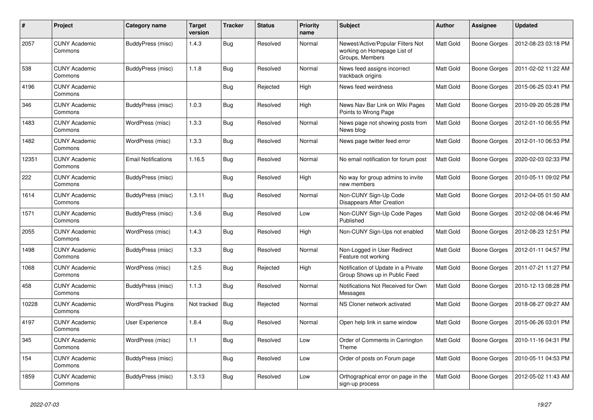| $\pmb{\#}$ | Project                         | Category name              | <b>Target</b><br>version | <b>Tracker</b> | <b>Status</b> | <b>Priority</b><br>name | <b>Subject</b>                                                                      | <b>Author</b> | Assignee            | <b>Updated</b>      |
|------------|---------------------------------|----------------------------|--------------------------|----------------|---------------|-------------------------|-------------------------------------------------------------------------------------|---------------|---------------------|---------------------|
| 2057       | <b>CUNY Academic</b><br>Commons | BuddyPress (misc)          | 1.4.3                    | <b>Bug</b>     | Resolved      | Normal                  | Newest/Active/Popular Filters Not<br>working on Homepage List of<br>Groups, Members | Matt Gold     | Boone Gorges        | 2012-08-23 03:18 PM |
| 538        | <b>CUNY Academic</b><br>Commons | BuddyPress (misc)          | 1.1.8                    | <b>Bug</b>     | Resolved      | Normal                  | News feed assigns incorrect<br>trackback origins                                    | Matt Gold     | Boone Gorges        | 2011-02-02 11:22 AM |
| 4196       | <b>CUNY Academic</b><br>Commons |                            |                          | <b>Bug</b>     | Rejected      | High                    | News feed weirdness                                                                 | Matt Gold     | Boone Gorges        | 2015-06-25 03:41 PM |
| 346        | <b>CUNY Academic</b><br>Commons | BuddyPress (misc)          | 1.0.3                    | Bug            | Resolved      | High                    | News Nav Bar Link on Wiki Pages<br>Points to Wrong Page                             | Matt Gold     | Boone Gorges        | 2010-09-20 05:28 PM |
| 1483       | <b>CUNY Academic</b><br>Commons | WordPress (misc)           | 1.3.3                    | Bug            | Resolved      | Normal                  | News page not showing posts from<br>News blog                                       | Matt Gold     | Boone Gorges        | 2012-01-10 06:55 PM |
| 1482       | <b>CUNY Academic</b><br>Commons | WordPress (misc)           | 1.3.3                    | <b>Bug</b>     | Resolved      | Normal                  | News page twitter feed error                                                        | Matt Gold     | Boone Gorges        | 2012-01-10 06:53 PM |
| 12351      | <b>CUNY Academic</b><br>Commons | <b>Email Notifications</b> | 1.16.5                   | <b>Bug</b>     | Resolved      | Normal                  | No email notification for forum post                                                | Matt Gold     | Boone Gorges        | 2020-02-03 02:33 PM |
| 222        | <b>CUNY Academic</b><br>Commons | BuddyPress (misc)          |                          | <b>Bug</b>     | Resolved      | High                    | No way for group admins to invite<br>new members                                    | Matt Gold     | Boone Gorges        | 2010-05-11 09:02 PM |
| 1614       | <b>CUNY Academic</b><br>Commons | BuddyPress (misc)          | 1.3.11                   | <b>Bug</b>     | Resolved      | Normal                  | Non-CUNY Sign-Up Code<br><b>Disappears After Creation</b>                           | Matt Gold     | <b>Boone Gorges</b> | 2012-04-05 01:50 AM |
| 1571       | <b>CUNY Academic</b><br>Commons | BuddyPress (misc)          | 1.3.6                    | <b>Bug</b>     | Resolved      | Low                     | Non-CUNY Sign-Up Code Pages<br>Published                                            | Matt Gold     | Boone Gorges        | 2012-02-08 04:46 PM |
| 2055       | <b>CUNY Academic</b><br>Commons | WordPress (misc)           | 1.4.3                    | Bug            | Resolved      | High                    | Non-CUNY Sign-Ups not enabled                                                       | Matt Gold     | Boone Gorges        | 2012-08-23 12:51 PM |
| 1498       | <b>CUNY Academic</b><br>Commons | BuddyPress (misc)          | 1.3.3                    | <b>Bug</b>     | Resolved      | Normal                  | Non-Logged in User Redirect<br>Feature not working                                  | Matt Gold     | Boone Gorges        | 2012-01-11 04:57 PM |
| 1068       | <b>CUNY Academic</b><br>Commons | WordPress (misc)           | 1.2.5                    | Bug            | Rejected      | High                    | Notification of Update in a Private<br>Group Shows up in Public Feed                | Matt Gold     | Boone Gorges        | 2011-07-21 11:27 PM |
| 458        | <b>CUNY Academic</b><br>Commons | BuddyPress (misc)          | 1.1.3                    | Bug            | Resolved      | Normal                  | Notifications Not Received for Own<br>Messages                                      | Matt Gold     | Boone Gorges        | 2010-12-13 08:28 PM |
| 10228      | <b>CUNY Academic</b><br>Commons | <b>WordPress Plugins</b>   | Not tracked              | <b>Bug</b>     | Rejected      | Normal                  | NS Cloner network activated                                                         | Matt Gold     | Boone Gorges        | 2018-08-27 09:27 AM |
| 4197       | <b>CUNY Academic</b><br>Commons | <b>User Experience</b>     | 1.8.4                    | Bug            | Resolved      | Normal                  | Open help link in same window                                                       | Matt Gold     | Boone Gorges        | 2015-06-26 03:01 PM |
| 345        | <b>CUNY Academic</b><br>Commons | WordPress (misc)           | 1.1                      | <b>Bug</b>     | Resolved      | Low                     | Order of Comments in Carrington<br>Theme                                            | Matt Gold     | Boone Gorges        | 2010-11-16 04:31 PM |
| 154        | <b>CUNY Academic</b><br>Commons | BuddyPress (misc)          |                          | <b>Bug</b>     | Resolved      | Low                     | Order of posts on Forum page                                                        | Matt Gold     | Boone Gorges        | 2010-05-11 04:53 PM |
| 1859       | <b>CUNY Academic</b><br>Commons | BuddyPress (misc)          | 1.3.13                   | Bug            | Resolved      | Low                     | Orthographical error on page in the<br>sign-up process                              | Matt Gold     | Boone Gorges        | 2012-05-02 11:43 AM |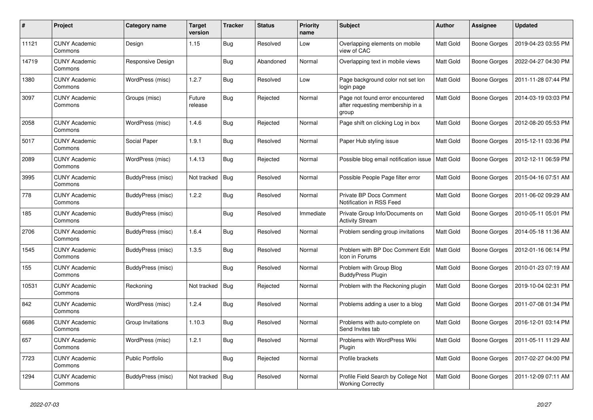| $\pmb{\#}$ | Project                         | Category name           | <b>Target</b><br>version | <b>Tracker</b> | <b>Status</b> | <b>Priority</b><br>name | <b>Subject</b>                                                                | <b>Author</b>    | Assignee            | <b>Updated</b>      |
|------------|---------------------------------|-------------------------|--------------------------|----------------|---------------|-------------------------|-------------------------------------------------------------------------------|------------------|---------------------|---------------------|
| 11121      | <b>CUNY Academic</b><br>Commons | Design                  | 1.15                     | <b>Bug</b>     | Resolved      | Low                     | Overlapping elements on mobile<br>view of CAC                                 | <b>Matt Gold</b> | <b>Boone Gorges</b> | 2019-04-23 03:55 PM |
| 14719      | <b>CUNY Academic</b><br>Commons | Responsive Design       |                          | <b>Bug</b>     | Abandoned     | Normal                  | Overlapping text in mobile views                                              | Matt Gold        | <b>Boone Gorges</b> | 2022-04-27 04:30 PM |
| 1380       | <b>CUNY Academic</b><br>Commons | WordPress (misc)        | 1.2.7                    | Bug            | Resolved      | Low                     | Page background color not set lon<br>login page                               | Matt Gold        | <b>Boone Gorges</b> | 2011-11-28 07:44 PM |
| 3097       | <b>CUNY Academic</b><br>Commons | Groups (misc)           | Future<br>release        | <b>Bug</b>     | Rejected      | Normal                  | Page not found error encountered<br>after requesting membership in a<br>group | Matt Gold        | <b>Boone Gorges</b> | 2014-03-19 03:03 PM |
| 2058       | <b>CUNY Academic</b><br>Commons | WordPress (misc)        | 1.4.6                    | Bug            | Rejected      | Normal                  | Page shift on clicking Log in box                                             | Matt Gold        | <b>Boone Gorges</b> | 2012-08-20 05:53 PM |
| 5017       | <b>CUNY Academic</b><br>Commons | Social Paper            | 1.9.1                    | <b>Bug</b>     | Resolved      | Normal                  | Paper Hub styling issue                                                       | Matt Gold        | <b>Boone Gorges</b> | 2015-12-11 03:36 PM |
| 2089       | <b>CUNY Academic</b><br>Commons | WordPress (misc)        | 1.4.13                   | Bug            | Rejected      | Normal                  | Possible blog email notification issue                                        | <b>Matt Gold</b> | <b>Boone Gorges</b> | 2012-12-11 06:59 PM |
| 3995       | <b>CUNY Academic</b><br>Commons | BuddyPress (misc)       | Not tracked              | Bug            | Resolved      | Normal                  | Possible People Page filter error                                             | Matt Gold        | <b>Boone Gorges</b> | 2015-04-16 07:51 AM |
| 778        | <b>CUNY Academic</b><br>Commons | BuddyPress (misc)       | 1.2.2                    | <b>Bug</b>     | Resolved      | Normal                  | Private BP Docs Comment<br>Notification in RSS Feed                           | Matt Gold        | Boone Gorges        | 2011-06-02 09:29 AM |
| 185        | <b>CUNY Academic</b><br>Commons | BuddyPress (misc)       |                          | Bug            | Resolved      | Immediate               | Private Group Info/Documents on<br><b>Activity Stream</b>                     | Matt Gold        | <b>Boone Gorges</b> | 2010-05-11 05:01 PM |
| 2706       | <b>CUNY Academic</b><br>Commons | BuddyPress (misc)       | 1.6.4                    | <b>Bug</b>     | Resolved      | Normal                  | Problem sending group invitations                                             | Matt Gold        | <b>Boone Gorges</b> | 2014-05-18 11:36 AM |
| 1545       | <b>CUNY Academic</b><br>Commons | BuddyPress (misc)       | 1.3.5                    | <b>Bug</b>     | Resolved      | Normal                  | Problem with BP Doc Comment Edit<br>Icon in Forums                            | <b>Matt Gold</b> | Boone Gorges        | 2012-01-16 06:14 PM |
| 155        | <b>CUNY Academic</b><br>Commons | BuddyPress (misc)       |                          | Bug            | Resolved      | Normal                  | Problem with Group Blog<br><b>BuddyPress Plugin</b>                           | Matt Gold        | <b>Boone Gorges</b> | 2010-01-23 07:19 AM |
| 10531      | <b>CUNY Academic</b><br>Commons | Reckoning               | Not tracked              | <b>Bug</b>     | Rejected      | Normal                  | Problem with the Reckoning plugin                                             | Matt Gold        | <b>Boone Gorges</b> | 2019-10-04 02:31 PM |
| 842        | <b>CUNY Academic</b><br>Commons | WordPress (misc)        | 1.2.4                    | Bug            | Resolved      | Normal                  | Problems adding a user to a blog                                              | Matt Gold        | <b>Boone Gorges</b> | 2011-07-08 01:34 PM |
| 6686       | <b>CUNY Academic</b><br>Commons | Group Invitations       | 1.10.3                   | Bug            | Resolved      | Normal                  | Problems with auto-complete on<br>Send Invites tab                            | Matt Gold        | <b>Boone Gorges</b> | 2016-12-01 03:14 PM |
| 657        | <b>CUNY Academic</b><br>Commons | WordPress (misc)        | 1.2.1                    | <b>Bug</b>     | Resolved      | Normal                  | Problems with WordPress Wiki<br>Plugin                                        | Matt Gold        | <b>Boone Gorges</b> | 2011-05-11 11:29 AM |
| 7723       | <b>CUNY Academic</b><br>Commons | <b>Public Portfolio</b> |                          | Bug            | Rejected      | Normal                  | Profile brackets                                                              | <b>Matt Gold</b> | <b>Boone Gorges</b> | 2017-02-27 04:00 PM |
| 1294       | <b>CUNY Academic</b><br>Commons | BuddyPress (misc)       | Not tracked              | Bug            | Resolved      | Normal                  | Profile Field Search by College Not<br><b>Working Correctly</b>               | Matt Gold        | <b>Boone Gorges</b> | 2011-12-09 07:11 AM |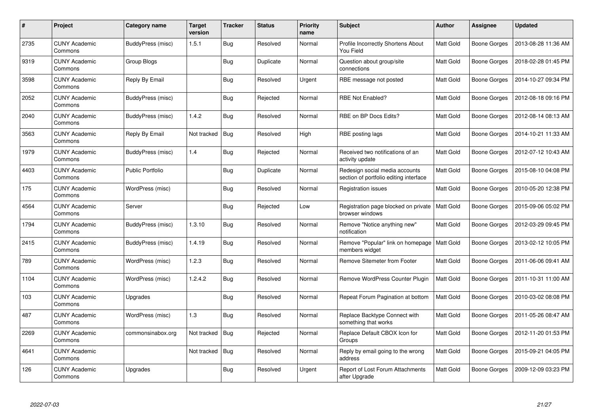| #    | Project                         | Category name           | <b>Target</b><br>version | <b>Tracker</b> | <b>Status</b> | <b>Priority</b><br>name | <b>Subject</b>                                                           | <b>Author</b>    | Assignee     | <b>Updated</b>      |
|------|---------------------------------|-------------------------|--------------------------|----------------|---------------|-------------------------|--------------------------------------------------------------------------|------------------|--------------|---------------------|
| 2735 | <b>CUNY Academic</b><br>Commons | BuddyPress (misc)       | 1.5.1                    | <b>Bug</b>     | Resolved      | Normal                  | Profile Incorrectly Shortens About<br>You Field                          | Matt Gold        | Boone Gorges | 2013-08-28 11:36 AM |
| 9319 | <b>CUNY Academic</b><br>Commons | Group Blogs             |                          | Bug            | Duplicate     | Normal                  | Question about group/site<br>connections                                 | Matt Gold        | Boone Gorges | 2018-02-28 01:45 PM |
| 3598 | <b>CUNY Academic</b><br>Commons | Reply By Email          |                          | <b>Bug</b>     | Resolved      | Urgent                  | RBE message not posted                                                   | Matt Gold        | Boone Gorges | 2014-10-27 09:34 PM |
| 2052 | <b>CUNY Academic</b><br>Commons | BuddyPress (misc)       |                          | <b>Bug</b>     | Rejected      | Normal                  | RBE Not Enabled?                                                         | Matt Gold        | Boone Gorges | 2012-08-18 09:16 PM |
| 2040 | <b>CUNY Academic</b><br>Commons | BuddyPress (misc)       | 1.4.2                    | Bug            | Resolved      | Normal                  | RBE on BP Docs Edits?                                                    | <b>Matt Gold</b> | Boone Gorges | 2012-08-14 08:13 AM |
| 3563 | <b>CUNY Academic</b><br>Commons | Reply By Email          | Not tracked              | Bug            | Resolved      | High                    | RBE posting lags                                                         | Matt Gold        | Boone Gorges | 2014-10-21 11:33 AM |
| 1979 | <b>CUNY Academic</b><br>Commons | BuddyPress (misc)       | 1.4                      | <b>Bug</b>     | Rejected      | Normal                  | Received two notifications of an<br>activity update                      | Matt Gold        | Boone Gorges | 2012-07-12 10:43 AM |
| 4403 | <b>CUNY Academic</b><br>Commons | <b>Public Portfolio</b> |                          | <b>Bug</b>     | Duplicate     | Normal                  | Redesign social media accounts<br>section of portfolio editing interface | Matt Gold        | Boone Gorges | 2015-08-10 04:08 PM |
| 175  | <b>CUNY Academic</b><br>Commons | WordPress (misc)        |                          | <b>Bug</b>     | Resolved      | Normal                  | <b>Registration issues</b>                                               | Matt Gold        | Boone Gorges | 2010-05-20 12:38 PM |
| 4564 | <b>CUNY Academic</b><br>Commons | Server                  |                          | <b>Bug</b>     | Rejected      | Low                     | Registration page blocked on private<br>browser windows                  | <b>Matt Gold</b> | Boone Gorges | 2015-09-06 05:02 PM |
| 1794 | <b>CUNY Academic</b><br>Commons | BuddyPress (misc)       | 1.3.10                   | Bug            | Resolved      | Normal                  | Remove "Notice anything new"<br>notification                             | Matt Gold        | Boone Gorges | 2012-03-29 09:45 PM |
| 2415 | <b>CUNY Academic</b><br>Commons | BuddyPress (misc)       | 1.4.19                   | <b>Bug</b>     | Resolved      | Normal                  | Remove "Popular" link on homepage<br>members widget                      | <b>Matt Gold</b> | Boone Gorges | 2013-02-12 10:05 PM |
| 789  | <b>CUNY Academic</b><br>Commons | WordPress (misc)        | 1.2.3                    | Bug            | Resolved      | Normal                  | Remove Sitemeter from Footer                                             | Matt Gold        | Boone Gorges | 2011-06-06 09:41 AM |
| 1104 | <b>CUNY Academic</b><br>Commons | WordPress (misc)        | 1.2.4.2                  | <b>Bug</b>     | Resolved      | Normal                  | Remove WordPress Counter Plugin                                          | Matt Gold        | Boone Gorges | 2011-10-31 11:00 AM |
| 103  | <b>CUNY Academic</b><br>Commons | Upgrades                |                          | <b>Bug</b>     | Resolved      | Normal                  | Repeat Forum Pagination at bottom                                        | Matt Gold        | Boone Gorges | 2010-03-02 08:08 PM |
| 487  | <b>CUNY Academic</b><br>Commons | WordPress (misc)        | 1.3                      | Bug            | Resolved      | Normal                  | Replace Backtype Connect with<br>something that works                    | Matt Gold        | Boone Gorges | 2011-05-26 08:47 AM |
| 2269 | <b>CUNY Academic</b><br>Commons | commonsinabox.org       | Not tracked              | <b>Bug</b>     | Rejected      | Normal                  | Replace Default CBOX Icon for<br>Groups                                  | Matt Gold        | Boone Gorges | 2012-11-20 01:53 PM |
| 4641 | <b>CUNY Academic</b><br>Commons |                         | Not tracked              | <b>Bug</b>     | Resolved      | Normal                  | Reply by email going to the wrong<br>address                             | Matt Gold        | Boone Gorges | 2015-09-21 04:05 PM |
| 126  | CUNY Academic<br>Commons        | Upgrades                |                          | <b>Bug</b>     | Resolved      | Urgent                  | Report of Lost Forum Attachments<br>after Upgrade                        | Matt Gold        | Boone Gorges | 2009-12-09 03:23 PM |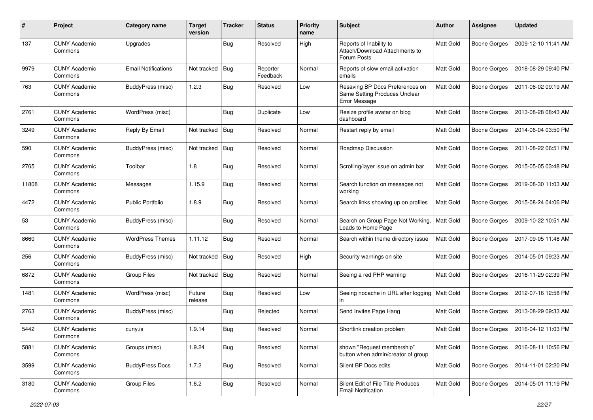| #     | Project                         | Category name              | <b>Target</b><br>version | <b>Tracker</b> | <b>Status</b>        | <b>Priority</b><br>name | Subject                                                                           | <b>Author</b>    | <b>Assignee</b>     | <b>Updated</b>      |
|-------|---------------------------------|----------------------------|--------------------------|----------------|----------------------|-------------------------|-----------------------------------------------------------------------------------|------------------|---------------------|---------------------|
| 137   | <b>CUNY Academic</b><br>Commons | Upgrades                   |                          | <b>Bug</b>     | Resolved             | High                    | Reports of Inability to<br>Attach/Download Attachments to<br>Forum Posts          | Matt Gold        | <b>Boone Gorges</b> | 2009-12-10 11:41 AM |
| 9979  | <b>CUNY Academic</b><br>Commons | <b>Email Notifications</b> | Not tracked              | <b>Bug</b>     | Reporter<br>Feedback | Normal                  | Reports of slow email activation<br>emails                                        | <b>Matt Gold</b> | <b>Boone Gorges</b> | 2018-08-29 09:40 PM |
| 763   | <b>CUNY Academic</b><br>Commons | BuddyPress (misc)          | 1.2.3                    | <b>Bug</b>     | Resolved             | Low                     | Resaving BP Docs Preferences on<br>Same Setting Produces Unclear<br>Error Message | Matt Gold        | <b>Boone Gorges</b> | 2011-06-02 09:19 AM |
| 2761  | <b>CUNY Academic</b><br>Commons | WordPress (misc)           |                          | <b>Bug</b>     | Duplicate            | Low                     | Resize profile avatar on blog<br>dashboard                                        | Matt Gold        | <b>Boone Gorges</b> | 2013-08-28 08:43 AM |
| 3249  | <b>CUNY Academic</b><br>Commons | Reply By Email             | Not tracked              | <b>Bug</b>     | Resolved             | Normal                  | Restart reply by email                                                            | <b>Matt Gold</b> | <b>Boone Gorges</b> | 2014-06-04 03:50 PM |
| 590   | <b>CUNY Academic</b><br>Commons | BuddyPress (misc)          | Not tracked              | <b>Bug</b>     | Resolved             | Normal                  | Roadmap Discussion                                                                | Matt Gold        | <b>Boone Gorges</b> | 2011-08-22 06:51 PM |
| 2765  | <b>CUNY Academic</b><br>Commons | Toolbar                    | 1.8                      | <b>Bug</b>     | Resolved             | Normal                  | Scrolling/layer issue on admin bar                                                | <b>Matt Gold</b> | Boone Gorges        | 2015-05-05 03:48 PM |
| 11808 | <b>CUNY Academic</b><br>Commons | Messages                   | 1.15.9                   | <b>Bug</b>     | Resolved             | Normal                  | Search function on messages not<br>working                                        | Matt Gold        | Boone Gorges        | 2019-08-30 11:03 AM |
| 4472  | <b>CUNY Academic</b><br>Commons | <b>Public Portfolio</b>    | 1.8.9                    | <b>Bug</b>     | Resolved             | Normal                  | Search links showing up on profiles                                               | Matt Gold        | Boone Gorges        | 2015-08-24 04:06 PM |
| 53    | <b>CUNY Academic</b><br>Commons | BuddyPress (misc)          |                          | <b>Bug</b>     | Resolved             | Normal                  | Search on Group Page Not Working,<br>Leads to Home Page                           | Matt Gold        | Boone Gorges        | 2009-10-22 10:51 AM |
| 8660  | <b>CUNY Academic</b><br>Commons | <b>WordPress Themes</b>    | 1.11.12                  | <b>Bug</b>     | Resolved             | Normal                  | Search within theme directory issue                                               | Matt Gold        | Boone Gorges        | 2017-09-05 11:48 AM |
| 256   | <b>CUNY Academic</b><br>Commons | BuddyPress (misc)          | Not tracked              | <b>Bug</b>     | Resolved             | High                    | Security warnings on site                                                         | Matt Gold        | Boone Gorges        | 2014-05-01 09:23 AM |
| 6872  | <b>CUNY Academic</b><br>Commons | Group Files                | Not tracked              | <b>Bug</b>     | Resolved             | Normal                  | Seeing a red PHP warning                                                          | Matt Gold        | Boone Gorges        | 2016-11-29 02:39 PM |
| 1481  | <b>CUNY Academic</b><br>Commons | WordPress (misc)           | Future<br>release        | <b>Bug</b>     | Resolved             | Low                     | Seeing nocache in URL after logging<br>in.                                        | <b>Matt Gold</b> | Boone Gorges        | 2012-07-16 12:58 PM |
| 2763  | <b>CUNY Academic</b><br>Commons | BuddyPress (misc)          |                          | <b>Bug</b>     | Rejected             | Normal                  | Send Invites Page Hang                                                            | Matt Gold        | <b>Boone Gorges</b> | 2013-08-29 09:33 AM |
| 5442  | <b>CUNY Academic</b><br>Commons | cuny.is                    | 1.9.14                   | Bug            | Resolved             | Normal                  | Shortlink creation problem                                                        | <b>Matt Gold</b> | Boone Gorges        | 2016-04-12 11:03 PM |
| 5881  | <b>CUNY Academic</b><br>Commons | Groups (misc)              | 1.9.24                   | <b>Bug</b>     | Resolved             | Normal                  | shown "Request membership"<br>button when admin/creator of group                  | Matt Gold        | <b>Boone Gorges</b> | 2016-08-11 10:56 PM |
| 3599  | <b>CUNY Academic</b><br>Commons | <b>BuddyPress Docs</b>     | 1.7.2                    | <b>Bug</b>     | Resolved             | Normal                  | Silent BP Docs edits                                                              | Matt Gold        | Boone Gorges        | 2014-11-01 02:20 PM |
| 3180  | <b>CUNY Academic</b><br>Commons | <b>Group Files</b>         | 1.6.2                    | <b>Bug</b>     | Resolved             | Normal                  | Silent Edit of File Title Produces<br><b>Email Notification</b>                   | Matt Gold        | <b>Boone Gorges</b> | 2014-05-01 11:19 PM |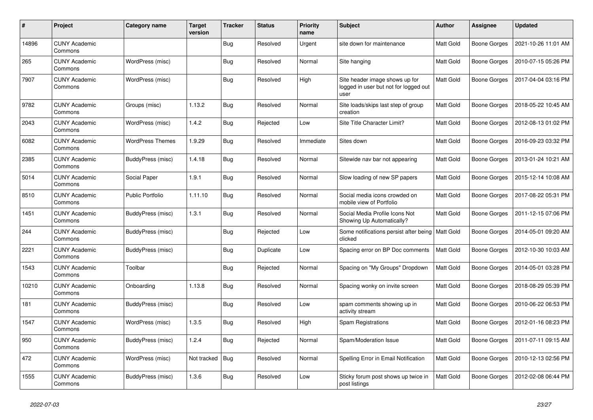| $\pmb{\#}$ | Project                         | Category name           | <b>Target</b><br>version | <b>Tracker</b> | <b>Status</b> | <b>Priority</b><br>name | <b>Subject</b>                                                                  | <b>Author</b>    | Assignee            | <b>Updated</b>      |
|------------|---------------------------------|-------------------------|--------------------------|----------------|---------------|-------------------------|---------------------------------------------------------------------------------|------------------|---------------------|---------------------|
| 14896      | <b>CUNY Academic</b><br>Commons |                         |                          | <b>Bug</b>     | Resolved      | Urgent                  | site down for maintenance                                                       | Matt Gold        | <b>Boone Gorges</b> | 2021-10-26 11:01 AM |
| 265        | <b>CUNY Academic</b><br>Commons | WordPress (misc)        |                          | <b>Bug</b>     | Resolved      | Normal                  | Site hanging                                                                    | <b>Matt Gold</b> | <b>Boone Gorges</b> | 2010-07-15 05:26 PM |
| 7907       | <b>CUNY Academic</b><br>Commons | WordPress (misc)        |                          | <b>Bug</b>     | Resolved      | High                    | Site header image shows up for<br>logged in user but not for logged out<br>user | Matt Gold        | <b>Boone Gorges</b> | 2017-04-04 03:16 PM |
| 9782       | <b>CUNY Academic</b><br>Commons | Groups (misc)           | 1.13.2                   | Bug            | Resolved      | Normal                  | Site loads/skips last step of group<br>creation                                 | Matt Gold        | <b>Boone Gorges</b> | 2018-05-22 10:45 AM |
| 2043       | <b>CUNY Academic</b><br>Commons | WordPress (misc)        | 1.4.2                    | <b>Bug</b>     | Rejected      | Low                     | Site Title Character Limit?                                                     | Matt Gold        | Boone Gorges        | 2012-08-13 01:02 PM |
| 6082       | <b>CUNY Academic</b><br>Commons | <b>WordPress Themes</b> | 1.9.29                   | <b>Bug</b>     | Resolved      | Immediate               | Sites down                                                                      | Matt Gold        | <b>Boone Gorges</b> | 2016-09-23 03:32 PM |
| 2385       | <b>CUNY Academic</b><br>Commons | BuddyPress (misc)       | 1.4.18                   | Bug            | Resolved      | Normal                  | Sitewide nav bar not appearing                                                  | Matt Gold        | <b>Boone Gorges</b> | 2013-01-24 10:21 AM |
| 5014       | <b>CUNY Academic</b><br>Commons | Social Paper            | 1.9.1                    | <b>Bug</b>     | Resolved      | Normal                  | Slow loading of new SP papers                                                   | Matt Gold        | Boone Gorges        | 2015-12-14 10:08 AM |
| 8510       | <b>CUNY Academic</b><br>Commons | <b>Public Portfolio</b> | 1.11.10                  | <b>Bug</b>     | Resolved      | Normal                  | Social media icons crowded on<br>mobile view of Portfolio                       | Matt Gold        | <b>Boone Gorges</b> | 2017-08-22 05:31 PM |
| 1451       | <b>CUNY Academic</b><br>Commons | BuddyPress (misc)       | 1.3.1                    | Bug            | Resolved      | Normal                  | Social Media Profile Icons Not<br>Showing Up Automatically?                     | Matt Gold        | <b>Boone Gorges</b> | 2011-12-15 07:06 PM |
| 244        | <b>CUNY Academic</b><br>Commons | BuddyPress (misc)       |                          | <b>Bug</b>     | Rejected      | Low                     | Some notifications persist after being   Matt Gold<br>clicked                   |                  | Boone Gorges        | 2014-05-01 09:20 AM |
| 2221       | <b>CUNY Academic</b><br>Commons | BuddyPress (misc)       |                          | Bug            | Duplicate     | Low                     | Spacing error on BP Doc comments                                                | <b>Matt Gold</b> | <b>Boone Gorges</b> | 2012-10-30 10:03 AM |
| 1543       | <b>CUNY Academic</b><br>Commons | Toolbar                 |                          | <b>Bug</b>     | Rejected      | Normal                  | Spacing on "My Groups" Dropdown                                                 | Matt Gold        | <b>Boone Gorges</b> | 2014-05-01 03:28 PM |
| 10210      | <b>CUNY Academic</b><br>Commons | Onboarding              | 1.13.8                   | Bug            | Resolved      | Normal                  | Spacing wonky on invite screen                                                  | Matt Gold        | <b>Boone Gorges</b> | 2018-08-29 05:39 PM |
| 181        | <b>CUNY Academic</b><br>Commons | BuddyPress (misc)       |                          | Bug            | Resolved      | Low                     | spam comments showing up in<br>activity stream                                  | Matt Gold        | <b>Boone Gorges</b> | 2010-06-22 06:53 PM |
| 1547       | <b>CUNY Academic</b><br>Commons | WordPress (misc)        | 1.3.5                    | <b>Bug</b>     | Resolved      | High                    | Spam Registrations                                                              | Matt Gold        | <b>Boone Gorges</b> | 2012-01-16 08:23 PM |
| 950        | <b>CUNY Academic</b><br>Commons | BuddyPress (misc)       | 1.2.4                    | <b>Bug</b>     | Rejected      | Normal                  | Spam/Moderation Issue                                                           | Matt Gold        | Boone Gorges        | 2011-07-11 09:15 AM |
| 472        | <b>CUNY Academic</b><br>Commons | WordPress (misc)        | Not tracked              | <b>Bug</b>     | Resolved      | Normal                  | Spelling Error in Email Notification                                            | Matt Gold        | <b>Boone Gorges</b> | 2010-12-13 02:56 PM |
| 1555       | <b>CUNY Academic</b><br>Commons | BuddyPress (misc)       | 1.3.6                    | <b>Bug</b>     | Resolved      | Low                     | Sticky forum post shows up twice in<br>post listings                            | Matt Gold        | <b>Boone Gorges</b> | 2012-02-08 06:44 PM |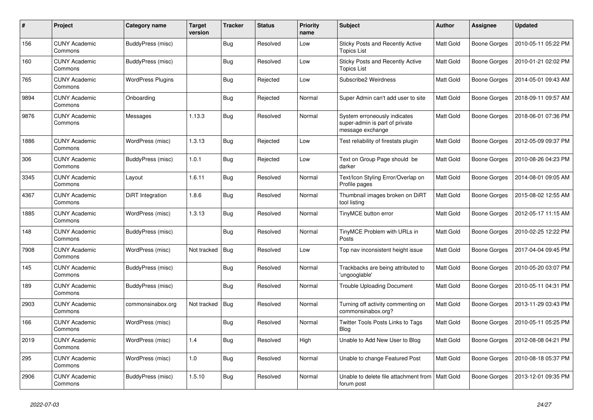| #    | Project                         | Category name     | <b>Target</b><br>version | <b>Tracker</b> | <b>Status</b> | <b>Priority</b><br>name | <b>Subject</b>                                                                     | <b>Author</b>    | <b>Assignee</b>     | <b>Updated</b>      |
|------|---------------------------------|-------------------|--------------------------|----------------|---------------|-------------------------|------------------------------------------------------------------------------------|------------------|---------------------|---------------------|
| 156  | <b>CUNY Academic</b><br>Commons | BuddyPress (misc) |                          | <b>Bug</b>     | Resolved      | Low                     | Sticky Posts and Recently Active<br><b>Topics List</b>                             | <b>Matt Gold</b> | <b>Boone Gorges</b> | 2010-05-11 05:22 PM |
| 160  | <b>CUNY Academic</b><br>Commons | BuddyPress (misc) |                          | <b>Bug</b>     | Resolved      | Low                     | Sticky Posts and Recently Active<br><b>Topics List</b>                             | Matt Gold        | <b>Boone Gorges</b> | 2010-01-21 02:02 PM |
| 765  | CUNY Academic<br>Commons        | WordPress Plugins |                          | <b>Bug</b>     | Rejected      | Low                     | Subscribe2 Weirdness                                                               | Matt Gold        | <b>Boone Gorges</b> | 2014-05-01 09:43 AM |
| 9894 | <b>CUNY Academic</b><br>Commons | Onboarding        |                          | Bug            | Rejected      | Normal                  | Super Admin can't add user to site                                                 | Matt Gold        | <b>Boone Gorges</b> | 2018-09-11 09:57 AM |
| 9876 | <b>CUNY Academic</b><br>Commons | Messages          | 1.13.3                   | Bug            | Resolved      | Normal                  | System erroneously indicates<br>super-admin is part of private<br>message exchange | Matt Gold        | Boone Gorges        | 2018-06-01 07:36 PM |
| 1886 | <b>CUNY Academic</b><br>Commons | WordPress (misc)  | 1.3.13                   | Bug            | Rejected      | Low                     | Test reliability of firestats plugin                                               | Matt Gold        | <b>Boone Gorges</b> | 2012-05-09 09:37 PM |
| 306  | <b>CUNY Academic</b><br>Commons | BuddyPress (misc) | 1.0.1                    | <b>Bug</b>     | Rejected      | Low                     | Text on Group Page should be<br>darker                                             | Matt Gold        | <b>Boone Gorges</b> | 2010-08-26 04:23 PM |
| 3345 | <b>CUNY Academic</b><br>Commons | Layout            | 1.6.11                   | Bug            | Resolved      | Normal                  | Text/Icon Styling Error/Overlap on<br>Profile pages                                | Matt Gold        | <b>Boone Gorges</b> | 2014-08-01 09:05 AM |
| 4367 | <b>CUNY Academic</b><br>Commons | DiRT Integration  | 1.8.6                    | <b>Bug</b>     | Resolved      | Normal                  | Thumbnail images broken on DiRT<br>tool listing                                    | Matt Gold        | <b>Boone Gorges</b> | 2015-08-02 12:55 AM |
| 1885 | <b>CUNY Academic</b><br>Commons | WordPress (misc)  | 1.3.13                   | <b>Bug</b>     | Resolved      | Normal                  | TinyMCE button error                                                               | Matt Gold        | <b>Boone Gorges</b> | 2012-05-17 11:15 AM |
| 148  | <b>CUNY Academic</b><br>Commons | BuddyPress (misc) |                          | Bug            | Resolved      | Normal                  | TinyMCE Problem with URLs in<br>Posts                                              | Matt Gold        | <b>Boone Gorges</b> | 2010-02-25 12:22 PM |
| 7908 | <b>CUNY Academic</b><br>Commons | WordPress (misc)  | Not tracked              | <b>Bug</b>     | Resolved      | Low                     | Top nav inconsistent height issue                                                  | Matt Gold        | <b>Boone Gorges</b> | 2017-04-04 09:45 PM |
| 145  | <b>CUNY Academic</b><br>Commons | BuddyPress (misc) |                          | <b>Bug</b>     | Resolved      | Normal                  | Trackbacks are being attributed to<br>'ungooglable'                                | Matt Gold        | <b>Boone Gorges</b> | 2010-05-20 03:07 PM |
| 189  | <b>CUNY Academic</b><br>Commons | BuddyPress (misc) |                          | Bug            | Resolved      | Normal                  | <b>Trouble Uploading Document</b>                                                  | Matt Gold        | <b>Boone Gorges</b> | 2010-05-11 04:31 PM |
| 2903 | <b>CUNY Academic</b><br>Commons | commonsinabox.org | Not tracked              | Bug            | Resolved      | Normal                  | Turning off activity commenting on<br>commonsinabox.org?                           | Matt Gold        | <b>Boone Gorges</b> | 2013-11-29 03:43 PM |
| 166  | <b>CUNY Academic</b><br>Commons | WordPress (misc)  |                          | <b>Bug</b>     | Resolved      | Normal                  | Twitter Tools Posts Links to Tags<br>Blog                                          | Matt Gold        | <b>Boone Gorges</b> | 2010-05-11 05:25 PM |
| 2019 | <b>CUNY Academic</b><br>Commons | WordPress (misc)  | 1.4                      | Bug            | Resolved      | High                    | Unable to Add New User to Blog                                                     | <b>Matt Gold</b> | Boone Gorges        | 2012-08-08 04:21 PM |
| 295  | <b>CUNY Academic</b><br>Commons | WordPress (misc)  | 1.0                      | <b>Bug</b>     | Resolved      | Normal                  | Unable to change Featured Post                                                     | Matt Gold        | <b>Boone Gorges</b> | 2010-08-18 05:37 PM |
| 2906 | <b>CUNY Academic</b><br>Commons | BuddyPress (misc) | 1.5.10                   | Bug            | Resolved      | Normal                  | Unable to delete file attachment from<br>forum post                                | Matt Gold        | <b>Boone Gorges</b> | 2013-12-01 09:35 PM |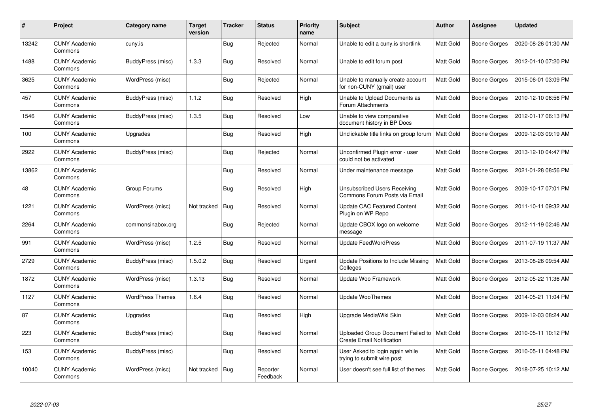| $\#$  | Project                         | Category name           | <b>Target</b><br>version | <b>Tracker</b> | <b>Status</b>        | <b>Priority</b><br>name | <b>Subject</b>                                                                    | <b>Author</b>    | Assignee            | <b>Updated</b>      |
|-------|---------------------------------|-------------------------|--------------------------|----------------|----------------------|-------------------------|-----------------------------------------------------------------------------------|------------------|---------------------|---------------------|
| 13242 | <b>CUNY Academic</b><br>Commons | cuny.is                 |                          | <b>Bug</b>     | Rejected             | Normal                  | Unable to edit a cuny.is shortlink                                                | <b>Matt Gold</b> | <b>Boone Gorges</b> | 2020-08-26 01:30 AM |
| 1488  | <b>CUNY Academic</b><br>Commons | BuddyPress (misc)       | 1.3.3                    | <b>Bug</b>     | Resolved             | Normal                  | Unable to edit forum post                                                         | <b>Matt Gold</b> | <b>Boone Gorges</b> | 2012-01-10 07:20 PM |
| 3625  | <b>CUNY Academic</b><br>Commons | WordPress (misc)        |                          | <b>Bug</b>     | Rejected             | Normal                  | Unable to manually create account<br>for non-CUNY (gmail) user                    | Matt Gold        | <b>Boone Gorges</b> | 2015-06-01 03:09 PM |
| 457   | <b>CUNY Academic</b><br>Commons | BuddyPress (misc)       | 1.1.2                    | <b>Bug</b>     | Resolved             | High                    | Unable to Upload Documents as<br>Forum Attachments                                | Matt Gold        | <b>Boone Gorges</b> | 2010-12-10 06:56 PM |
| 1546  | <b>CUNY Academic</b><br>Commons | BuddyPress (misc)       | 1.3.5                    | <b>Bug</b>     | Resolved             | Low                     | Unable to view comparative<br>document history in BP Docs                         | Matt Gold        | Boone Gorges        | 2012-01-17 06:13 PM |
| 100   | <b>CUNY Academic</b><br>Commons | Upgrades                |                          | <b>Bug</b>     | Resolved             | High                    | Unclickable title links on group forum                                            | <b>Matt Gold</b> | Boone Gorges        | 2009-12-03 09:19 AM |
| 2922  | <b>CUNY Academic</b><br>Commons | BuddyPress (misc)       |                          | Bug            | Rejected             | Normal                  | Unconfirmed Plugin error - user<br>could not be activated                         | Matt Gold        | <b>Boone Gorges</b> | 2013-12-10 04:47 PM |
| 13862 | <b>CUNY Academic</b><br>Commons |                         |                          | <b>Bug</b>     | Resolved             | Normal                  | Under maintenance message                                                         | Matt Gold        | <b>Boone Gorges</b> | 2021-01-28 08:56 PM |
| 48    | <b>CUNY Academic</b><br>Commons | Group Forums            |                          | Bug            | Resolved             | High                    | Unsubscribed Users Receiving<br>Commons Forum Posts via Email                     | Matt Gold        | <b>Boone Gorges</b> | 2009-10-17 07:01 PM |
| 1221  | <b>CUNY Academic</b><br>Commons | WordPress (misc)        | Not tracked              | <b>Bug</b>     | Resolved             | Normal                  | <b>Update CAC Featured Content</b><br>Plugin on WP Repo                           | <b>Matt Gold</b> | <b>Boone Gorges</b> | 2011-10-11 09:32 AM |
| 2264  | <b>CUNY Academic</b><br>Commons | commonsinabox.org       |                          | <b>Bug</b>     | Rejected             | Normal                  | Update CBOX logo on welcome<br>message                                            | Matt Gold        | <b>Boone Gorges</b> | 2012-11-19 02:46 AM |
| 991   | <b>CUNY Academic</b><br>Commons | WordPress (misc)        | 1.2.5                    | Bug            | Resolved             | Normal                  | <b>Update FeedWordPress</b>                                                       | Matt Gold        | <b>Boone Gorges</b> | 2011-07-19 11:37 AM |
| 2729  | <b>CUNY Academic</b><br>Commons | BuddyPress (misc)       | 1.5.0.2                  | <b>Bug</b>     | Resolved             | Urgent                  | Update Positions to Include Missing<br>Colleges                                   | Matt Gold        | <b>Boone Gorges</b> | 2013-08-26 09:54 AM |
| 1872  | <b>CUNY Academic</b><br>Commons | WordPress (misc)        | 1.3.13                   | Bug            | Resolved             | Normal                  | Update Woo Framework                                                              | Matt Gold        | <b>Boone Gorges</b> | 2012-05-22 11:36 AM |
| 1127  | <b>CUNY Academic</b><br>Commons | <b>WordPress Themes</b> | 1.6.4                    | <b>Bug</b>     | Resolved             | Normal                  | <b>Update WooThemes</b>                                                           | Matt Gold        | Boone Gorges        | 2014-05-21 11:04 PM |
| 87    | <b>CUNY Academic</b><br>Commons | Upgrades                |                          | Bug            | Resolved             | High                    | Upgrade MediaWiki Skin                                                            | Matt Gold        | Boone Gorges        | 2009-12-03 08:24 AM |
| 223   | <b>CUNY Academic</b><br>Commons | BuddyPress (misc)       |                          | Bug            | Resolved             | Normal                  | Uploaded Group Document Failed to   Matt Gold<br><b>Create Email Notification</b> |                  | <b>Boone Gorges</b> | 2010-05-11 10:12 PM |
| 153   | <b>CUNY Academic</b><br>Commons | BuddyPress (misc)       |                          | Bug            | Resolved             | Normal                  | User Asked to login again while<br>trying to submit wire post                     | Matt Gold        | <b>Boone Gorges</b> | 2010-05-11 04:48 PM |
| 10040 | <b>CUNY Academic</b><br>Commons | WordPress (misc)        | Not tracked              | <b>Bug</b>     | Reporter<br>Feedback | Normal                  | User doesn't see full list of themes                                              | Matt Gold        | Boone Gorges        | 2018-07-25 10:12 AM |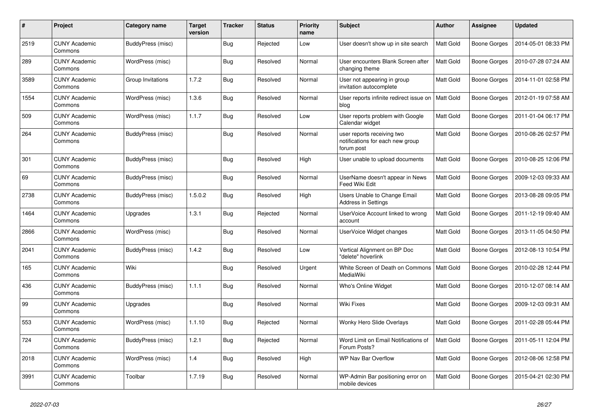| #    | Project                         | Category name     | <b>Target</b><br>version | <b>Tracker</b> | <b>Status</b> | <b>Priority</b><br>name | <b>Subject</b>                                                               | <b>Author</b>    | Assignee     | <b>Updated</b>      |
|------|---------------------------------|-------------------|--------------------------|----------------|---------------|-------------------------|------------------------------------------------------------------------------|------------------|--------------|---------------------|
| 2519 | <b>CUNY Academic</b><br>Commons | BuddyPress (misc) |                          | <b>Bug</b>     | Rejected      | Low                     | User doesn't show up in site search                                          | <b>Matt Gold</b> | Boone Gorges | 2014-05-01 08:33 PM |
| 289  | <b>CUNY Academic</b><br>Commons | WordPress (misc)  |                          | Bug            | Resolved      | Normal                  | User encounters Blank Screen after<br>changing theme                         | <b>Matt Gold</b> | Boone Gorges | 2010-07-28 07:24 AM |
| 3589 | <b>CUNY Academic</b><br>Commons | Group Invitations | 1.7.2                    | <b>Bug</b>     | Resolved      | Normal                  | User not appearing in group<br>invitation autocomplete                       | Matt Gold        | Boone Gorges | 2014-11-01 02:58 PM |
| 1554 | <b>CUNY Academic</b><br>Commons | WordPress (misc)  | 1.3.6                    | <b>Bug</b>     | Resolved      | Normal                  | User reports infinite redirect issue on<br>blog                              | <b>Matt Gold</b> | Boone Gorges | 2012-01-19 07:58 AM |
| 509  | <b>CUNY Academic</b><br>Commons | WordPress (misc)  | 1.1.7                    | Bug            | Resolved      | Low                     | User reports problem with Google<br>Calendar widget                          | Matt Gold        | Boone Gorges | 2011-01-04 06:17 PM |
| 264  | <b>CUNY Academic</b><br>Commons | BuddyPress (misc) |                          | <b>Bug</b>     | Resolved      | Normal                  | user reports receiving two<br>notifications for each new group<br>forum post | Matt Gold        | Boone Gorges | 2010-08-26 02:57 PM |
| 301  | <b>CUNY Academic</b><br>Commons | BuddyPress (misc) |                          | <b>Bug</b>     | Resolved      | High                    | User unable to upload documents                                              | Matt Gold        | Boone Gorges | 2010-08-25 12:06 PM |
| 69   | <b>CUNY Academic</b><br>Commons | BuddyPress (misc) |                          | Bug            | Resolved      | Normal                  | UserName doesn't appear in News<br>Feed Wiki Edit                            | Matt Gold        | Boone Gorges | 2009-12-03 09:33 AM |
| 2738 | <b>CUNY Academic</b><br>Commons | BuddyPress (misc) | 1.5.0.2                  | <b>Bug</b>     | Resolved      | High                    | Users Unable to Change Email<br><b>Address in Settings</b>                   | Matt Gold        | Boone Gorges | 2013-08-28 09:05 PM |
| 1464 | <b>CUNY Academic</b><br>Commons | Upgrades          | 1.3.1                    | <b>Bug</b>     | Rejected      | Normal                  | UserVoice Account linked to wrong<br>account                                 | Matt Gold        | Boone Gorges | 2011-12-19 09:40 AM |
| 2866 | <b>CUNY Academic</b><br>Commons | WordPress (misc)  |                          | <b>Bug</b>     | Resolved      | Normal                  | UserVoice Widget changes                                                     | Matt Gold        | Boone Gorges | 2013-11-05 04:50 PM |
| 2041 | <b>CUNY Academic</b><br>Commons | BuddyPress (misc) | 1.4.2                    | <b>Bug</b>     | Resolved      | Low                     | Vertical Alignment on BP Doc<br>"delete" hoverlink                           | Matt Gold        | Boone Gorges | 2012-08-13 10:54 PM |
| 165  | <b>CUNY Academic</b><br>Commons | Wiki              |                          | Bug            | Resolved      | Urgent                  | White Screen of Death on Commons<br>MediaWiki                                | <b>Matt Gold</b> | Boone Gorges | 2010-02-28 12:44 PM |
| 436  | <b>CUNY Academic</b><br>Commons | BuddyPress (misc) | 1.1.1                    | Bug            | Resolved      | Normal                  | Who's Online Widget                                                          | Matt Gold        | Boone Gorges | 2010-12-07 08:14 AM |
| 99   | <b>CUNY Academic</b><br>Commons | Upgrades          |                          | <b>Bug</b>     | Resolved      | Normal                  | Wiki Fixes                                                                   | <b>Matt Gold</b> | Boone Gorges | 2009-12-03 09:31 AM |
| 553  | <b>CUNY Academic</b><br>Commons | WordPress (misc)  | 1.1.10                   | <b>Bug</b>     | Rejected      | Normal                  | Wonky Hero Slide Overlays                                                    | Matt Gold        | Boone Gorges | 2011-02-28 05:44 PM |
| 724  | <b>CUNY Academic</b><br>Commons | BuddyPress (misc) | 1.2.1                    | <b>Bug</b>     | Rejected      | Normal                  | Word Limit on Email Notifications of<br>Forum Posts?                         | Matt Gold        | Boone Gorges | 2011-05-11 12:04 PM |
| 2018 | <b>CUNY Academic</b><br>Commons | WordPress (misc)  | 1.4                      | <b>Bug</b>     | Resolved      | High                    | <b>WP Nav Bar Overflow</b>                                                   | <b>Matt Gold</b> | Boone Gorges | 2012-08-06 12:58 PM |
| 3991 | <b>CUNY Academic</b><br>Commons | Toolbar           | 1.7.19                   | <b>Bug</b>     | Resolved      | Normal                  | WP-Admin Bar positioning error on<br>mobile devices                          | Matt Gold        | Boone Gorges | 2015-04-21 02:30 PM |